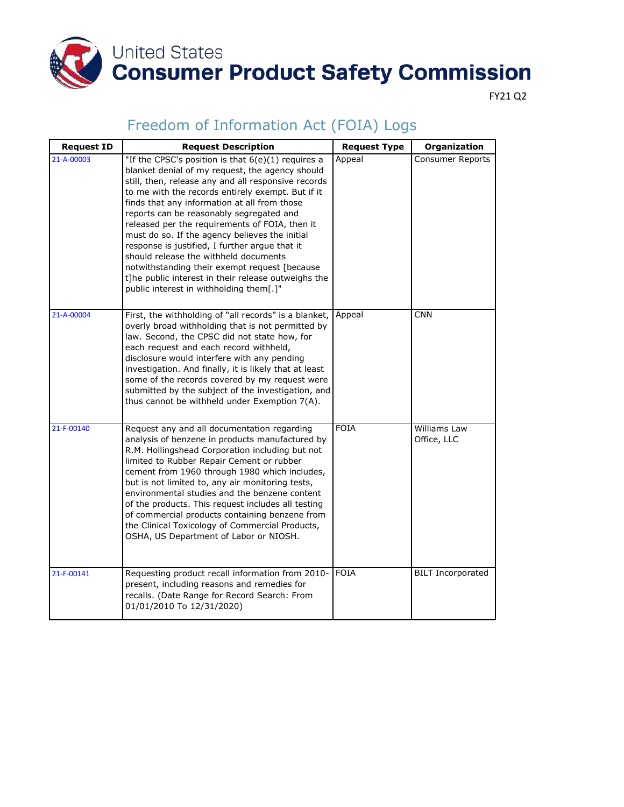

FY21 Q2

| <b>Request ID</b> | <b>Request Description</b>                                                                                                                                                                                                                                                                                                                                                                                                                                                                                                                                                                                                                                        | <b>Request Type</b> | Organization                |
|-------------------|-------------------------------------------------------------------------------------------------------------------------------------------------------------------------------------------------------------------------------------------------------------------------------------------------------------------------------------------------------------------------------------------------------------------------------------------------------------------------------------------------------------------------------------------------------------------------------------------------------------------------------------------------------------------|---------------------|-----------------------------|
| 21-A-00003        | "If the CPSC's position is that $6(e)(1)$ requires a<br>blanket denial of my request, the agency should<br>still, then, release any and all responsive records<br>to me with the records entirely exempt. But if it<br>finds that any information at all from those<br>reports can be reasonably segregated and<br>released per the requirements of FOIA, then it<br>must do so. If the agency believes the initial<br>response is justified, I further argue that it<br>should release the withheld documents<br>notwithstanding their exempt request [because<br>t]he public interest in their release outweighs the<br>public interest in withholding them[.]" | Appeal              | <b>Consumer Reports</b>     |
| 21-A-00004        | First, the withholding of "all records" is a blanket,<br>overly broad withholding that is not permitted by<br>law. Second, the CPSC did not state how, for<br>each request and each record withheld,<br>disclosure would interfere with any pending<br>investigation. And finally, it is likely that at least<br>some of the records covered by my request were<br>submitted by the subject of the investigation, and<br>thus cannot be withheld under Exemption 7(A).                                                                                                                                                                                            | Appeal              | <b>CNN</b>                  |
| 21-F-00140        | Request any and all documentation regarding<br>analysis of benzene in products manufactured by<br>R.M. Hollingshead Corporation including but not<br>limited to Rubber Repair Cement or rubber<br>cement from 1960 through 1980 which includes,<br>but is not limited to, any air monitoring tests,<br>environmental studies and the benzene content<br>of the products. This request includes all testing<br>of commercial products containing benzene from<br>the Clinical Toxicology of Commercial Products,<br>OSHA, US Department of Labor or NIOSH.                                                                                                         | <b>FOIA</b>         | Williams Law<br>Office, LLC |
| 21-F-00141        | Requesting product recall information from 2010-<br>present, including reasons and remedies for<br>recalls. (Date Range for Record Search: From<br>01/01/2010 To 12/31/2020)                                                                                                                                                                                                                                                                                                                                                                                                                                                                                      | <b>FOIA</b>         | <b>BILT</b> Incorporated    |

#### Freedom of Information Act (FOIA) Logs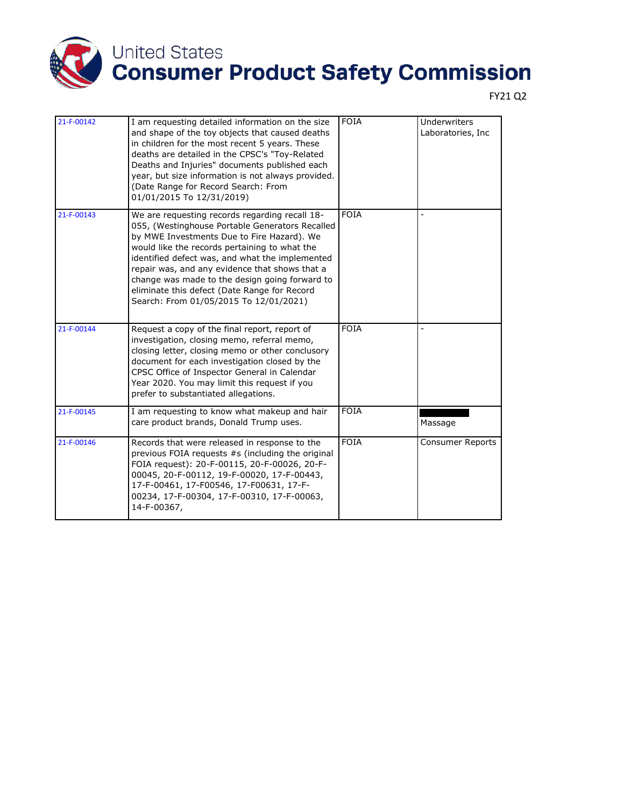

| 21-F-00142 | I am requesting detailed information on the size<br>and shape of the toy objects that caused deaths<br>in children for the most recent 5 years. These<br>deaths are detailed in the CPSC's "Toy-Related<br>Deaths and Injuries" documents published each<br>year, but size information is not always provided.<br>(Date Range for Record Search: From<br>01/01/2015 To 12/31/2019)                                                                | <b>FOIA</b> | <b>Underwriters</b><br>Laboratories, Inc |
|------------|---------------------------------------------------------------------------------------------------------------------------------------------------------------------------------------------------------------------------------------------------------------------------------------------------------------------------------------------------------------------------------------------------------------------------------------------------|-------------|------------------------------------------|
| 21-F-00143 | We are requesting records regarding recall 18-<br>055, (Westinghouse Portable Generators Recalled<br>by MWE Investments Due to Fire Hazard). We<br>would like the records pertaining to what the<br>identified defect was, and what the implemented<br>repair was, and any evidence that shows that a<br>change was made to the design going forward to<br>eliminate this defect (Date Range for Record<br>Search: From 01/05/2015 To 12/01/2021) | <b>FOIA</b> |                                          |
| 21-F-00144 | Request a copy of the final report, report of<br>investigation, closing memo, referral memo,<br>closing letter, closing memo or other conclusory<br>document for each investigation closed by the<br>CPSC Office of Inspector General in Calendar<br>Year 2020. You may limit this request if you<br>prefer to substantiated allegations.                                                                                                         | <b>FOIA</b> |                                          |
| 21-F-00145 | I am requesting to know what makeup and hair<br>care product brands, Donald Trump uses.                                                                                                                                                                                                                                                                                                                                                           | <b>FOIA</b> | Massage                                  |
| 21-F-00146 | Records that were released in response to the<br>previous FOIA requests #s (including the original<br>FOIA request): 20-F-00115, 20-F-00026, 20-F-<br>00045, 20-F-00112, 19-F-00020, 17-F-00443,<br>17-F-00461, 17-F00546, 17-F00631, 17-F-<br>00234, 17-F-00304, 17-F-00310, 17-F-00063,<br>14-F-00367,                                                                                                                                          | <b>FOIA</b> | Consumer Reports                         |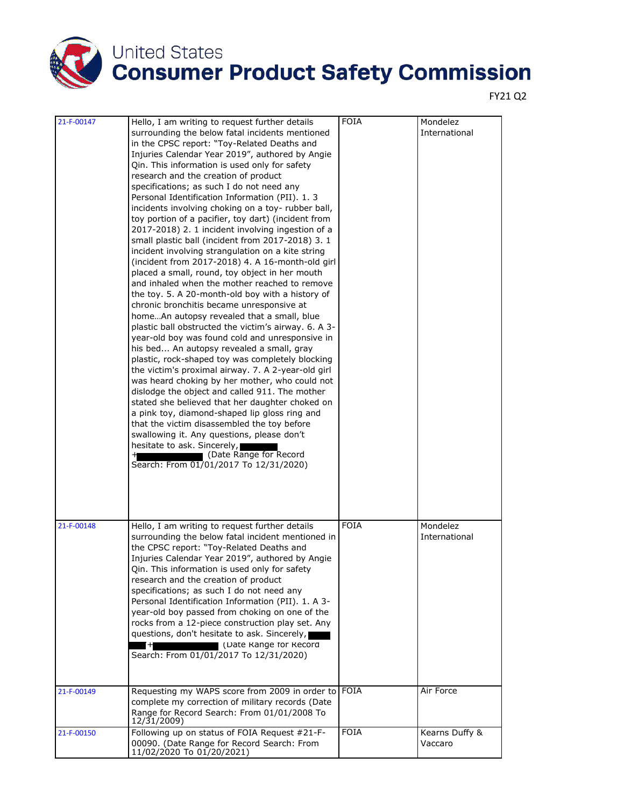

|                          |                                                                                                                                                                                                                                                                                                                                                                                                                                                                                                                                                                                                                                                                                                                                                                                                                                                                                                                                                                                                                                                                                                                                                                                                                                                                                                                                                                                                                                                                                                                                                                                                                                                        | <b>FOIA</b>                |                                        |
|--------------------------|--------------------------------------------------------------------------------------------------------------------------------------------------------------------------------------------------------------------------------------------------------------------------------------------------------------------------------------------------------------------------------------------------------------------------------------------------------------------------------------------------------------------------------------------------------------------------------------------------------------------------------------------------------------------------------------------------------------------------------------------------------------------------------------------------------------------------------------------------------------------------------------------------------------------------------------------------------------------------------------------------------------------------------------------------------------------------------------------------------------------------------------------------------------------------------------------------------------------------------------------------------------------------------------------------------------------------------------------------------------------------------------------------------------------------------------------------------------------------------------------------------------------------------------------------------------------------------------------------------------------------------------------------------|----------------------------|----------------------------------------|
| 21-F-00147               | Hello, I am writing to request further details<br>surrounding the below fatal incidents mentioned<br>in the CPSC report: "Toy-Related Deaths and<br>Injuries Calendar Year 2019", authored by Angie<br>Qin. This information is used only for safety<br>research and the creation of product<br>specifications; as such I do not need any<br>Personal Identification Information (PII). 1.3<br>incidents involving choking on a toy-rubber ball,<br>toy portion of a pacifier, toy dart) (incident from<br>2017-2018) 2. 1 incident involving ingestion of a<br>small plastic ball (incident from 2017-2018) 3. 1<br>incident involving strangulation on a kite string<br>(incident from 2017-2018) 4. A 16-month-old girl<br>placed a small, round, toy object in her mouth<br>and inhaled when the mother reached to remove<br>the toy. 5. A 20-month-old boy with a history of<br>chronic bronchitis became unresponsive at<br>homeAn autopsy revealed that a small, blue<br>plastic ball obstructed the victim's airway. 6. A 3-<br>year-old boy was found cold and unresponsive in<br>his bed An autopsy revealed a small, gray<br>plastic, rock-shaped toy was completely blocking<br>the victim's proximal airway. 7. A 2-year-old girl<br>was heard choking by her mother, who could not<br>dislodge the object and called 911. The mother<br>stated she believed that her daughter choked on<br>a pink toy, diamond-shaped lip gloss ring and<br>that the victim disassembled the toy before<br>swallowing it. Any questions, please don't<br>hesitate to ask. Sincerely,<br>(Date Range for Record<br>Search: From 01/01/2017 To 12/31/2020) |                            | Mondelez<br>International              |
| 21-F-00148<br>21-F-00149 | Hello, I am writing to request further details<br>surrounding the below fatal incident mentioned in<br>the CPSC report: "Toy-Related Deaths and<br>Injuries Calendar Year 2019", authored by Angie<br>Qin. This information is used only for safety<br>research and the creation of product<br>specifications; as such I do not need any<br>Personal Identification Information (PII). 1. A 3-<br>year-old boy passed from choking on one of the<br>rocks from a 12-piece construction play set. Any<br>questions, don't hesitate to ask. Sincerely,<br>(Date Kange for Kecord<br>Search: From 01/01/2017 To 12/31/2020)<br>Requesting my WAPS score from 2009 in order to                                                                                                                                                                                                                                                                                                                                                                                                                                                                                                                                                                                                                                                                                                                                                                                                                                                                                                                                                                             | <b>FOIA</b><br><b>FOIA</b> | Mondelez<br>International<br>Air Force |
|                          | complete my correction of military records (Date<br>Range for Record Search: From 01/01/2008 To<br>12/31/2009)                                                                                                                                                                                                                                                                                                                                                                                                                                                                                                                                                                                                                                                                                                                                                                                                                                                                                                                                                                                                                                                                                                                                                                                                                                                                                                                                                                                                                                                                                                                                         |                            |                                        |
| 21-F-00150               | Following up on status of FOIA Request #21-F-<br>00090. (Date Range for Record Search: From<br>11/02/2020 To 01/20/2021)                                                                                                                                                                                                                                                                                                                                                                                                                                                                                                                                                                                                                                                                                                                                                                                                                                                                                                                                                                                                                                                                                                                                                                                                                                                                                                                                                                                                                                                                                                                               | <b>FOIA</b>                | Kearns Duffy &<br>Vaccaro              |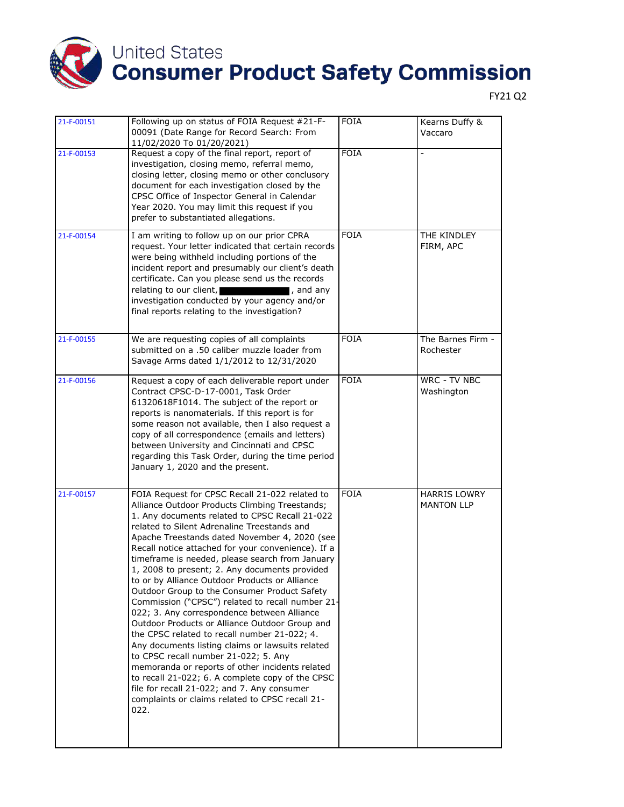

| 21-F-00151 | Following up on status of FOIA Request #21-F-<br>00091 (Date Range for Record Search: From<br>11/02/2020 To 01/20/2021)                                                                                                                                                                                                                                                                                                                                                                                                                                                                                                                                                                                                                                                                                                                                                                                                                                                                                                          | <b>FOIA</b> | Kearns Duffy &<br>Vaccaro                |
|------------|----------------------------------------------------------------------------------------------------------------------------------------------------------------------------------------------------------------------------------------------------------------------------------------------------------------------------------------------------------------------------------------------------------------------------------------------------------------------------------------------------------------------------------------------------------------------------------------------------------------------------------------------------------------------------------------------------------------------------------------------------------------------------------------------------------------------------------------------------------------------------------------------------------------------------------------------------------------------------------------------------------------------------------|-------------|------------------------------------------|
| 21-F-00153 | Request a copy of the final report, report of<br>investigation, closing memo, referral memo,<br>closing letter, closing memo or other conclusory<br>document for each investigation closed by the<br>CPSC Office of Inspector General in Calendar<br>Year 2020. You may limit this request if you<br>prefer to substantiated allegations.                                                                                                                                                                                                                                                                                                                                                                                                                                                                                                                                                                                                                                                                                        | <b>FOIA</b> | $\overline{a}$                           |
| 21-F-00154 | I am writing to follow up on our prior CPRA<br>request. Your letter indicated that certain records<br>were being withheld including portions of the<br>incident report and presumably our client's death<br>certificate. Can you please send us the records<br>relating to our client,<br>, and any<br>investigation conducted by your agency and/or<br>final reports relating to the investigation?                                                                                                                                                                                                                                                                                                                                                                                                                                                                                                                                                                                                                             | <b>FOIA</b> | THE KINDLEY<br>FIRM, APC                 |
| 21-F-00155 | We are requesting copies of all complaints<br>submitted on a .50 caliber muzzle loader from<br>Savage Arms dated 1/1/2012 to 12/31/2020                                                                                                                                                                                                                                                                                                                                                                                                                                                                                                                                                                                                                                                                                                                                                                                                                                                                                          | <b>FOIA</b> | The Barnes Firm -<br>Rochester           |
| 21-F-00156 | Request a copy of each deliverable report under<br>Contract CPSC-D-17-0001, Task Order<br>61320618F1014. The subject of the report or<br>reports is nanomaterials. If this report is for<br>some reason not available, then I also request a<br>copy of all correspondence (emails and letters)<br>between University and Cincinnati and CPSC<br>regarding this Task Order, during the time period<br>January 1, 2020 and the present.                                                                                                                                                                                                                                                                                                                                                                                                                                                                                                                                                                                           | <b>FOIA</b> | <b>WRC - TV NBC</b><br>Washington        |
| 21-F-00157 | FOIA Request for CPSC Recall 21-022 related to<br>Alliance Outdoor Products Climbing Treestands;<br>1. Any documents related to CPSC Recall 21-022<br>related to Silent Adrenaline Treestands and<br>Apache Treestands dated November 4, 2020 (see<br>Recall notice attached for your convenience). If a<br>timeframe is needed, please search from January<br>1, 2008 to present; 2. Any documents provided<br>to or by Alliance Outdoor Products or Alliance<br>Outdoor Group to the Consumer Product Safety<br>Commission ("CPSC") related to recall number 21-<br>022; 3. Any correspondence between Alliance<br>Outdoor Products or Alliance Outdoor Group and<br>the CPSC related to recall number 21-022; 4.<br>Any documents listing claims or lawsuits related<br>to CPSC recall number 21-022; 5. Any<br>memoranda or reports of other incidents related<br>to recall 21-022; 6. A complete copy of the CPSC<br>file for recall 21-022; and 7. Any consumer<br>complaints or claims related to CPSC recall 21-<br>022. | <b>FOIA</b> | <b>HARRIS LOWRY</b><br><b>MANTON LLP</b> |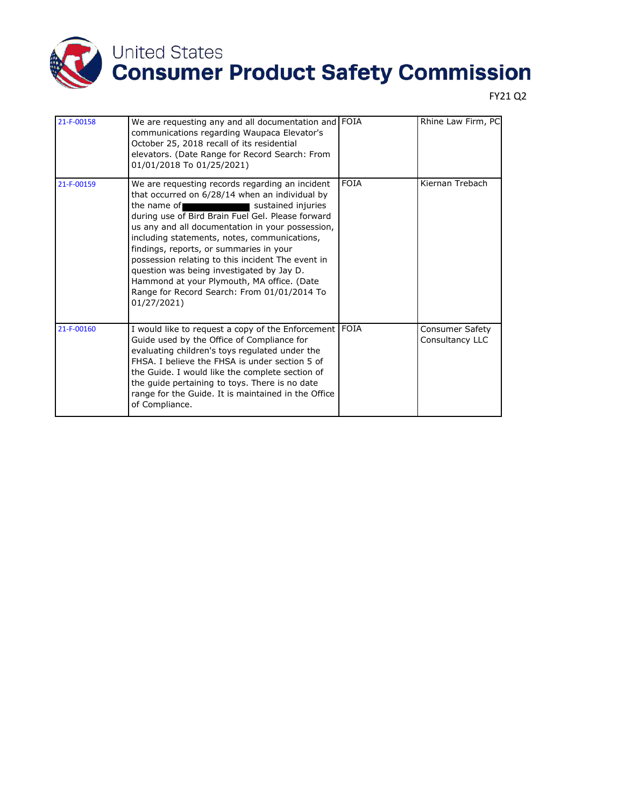

| 21-F-00158 | We are requesting any and all documentation and FOIA<br>communications regarding Waupaca Elevator's<br>October 25, 2018 recall of its residential<br>elevators. (Date Range for Record Search: From<br>01/01/2018 To 01/25/2021)                                                                                                                                                                                                                                                                                                                                        |             | Rhine Law Firm, PC                        |
|------------|-------------------------------------------------------------------------------------------------------------------------------------------------------------------------------------------------------------------------------------------------------------------------------------------------------------------------------------------------------------------------------------------------------------------------------------------------------------------------------------------------------------------------------------------------------------------------|-------------|-------------------------------------------|
| 21-F-00159 | We are requesting records regarding an incident<br>that occurred on 6/28/14 when an individual by<br>the name of $\blacksquare$<br>sustained injuries<br>during use of Bird Brain Fuel Gel. Please forward<br>us any and all documentation in your possession,<br>including statements, notes, communications,<br>findings, reports, or summaries in your<br>possession relating to this incident The event in<br>question was being investigated by Jay D.<br>Hammond at your Plymouth, MA office. (Date<br>Range for Record Search: From 01/01/2014 To<br>01/27/2021) | <b>FOIA</b> | Kiernan Trebach                           |
| 21-F-00160 | I would like to request a copy of the Enforcement   FOIA<br>Guide used by the Office of Compliance for<br>evaluating children's toys regulated under the<br>FHSA. I believe the FHSA is under section 5 of<br>the Guide. I would like the complete section of<br>the guide pertaining to toys. There is no date<br>range for the Guide. It is maintained in the Office<br>of Compliance.                                                                                                                                                                                |             | <b>Consumer Safety</b><br>Consultancy LLC |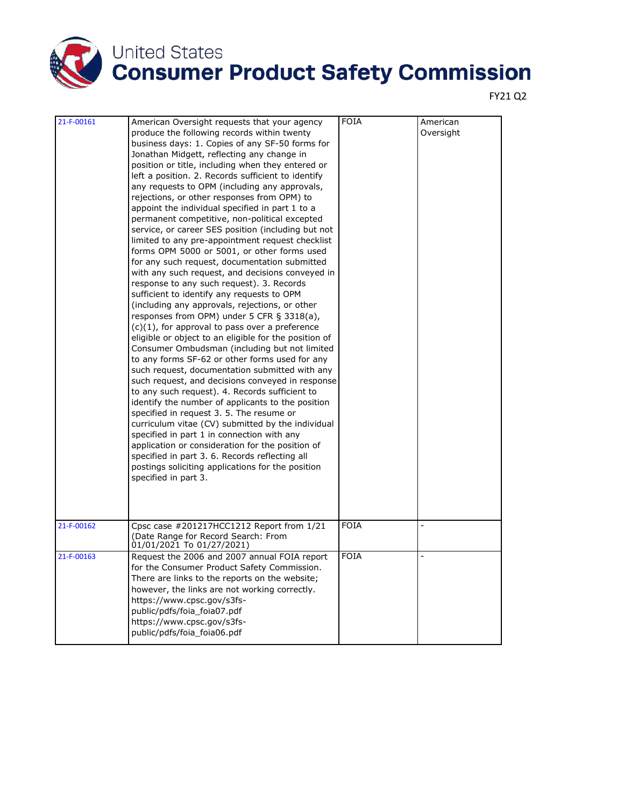

| 21-F-00161 | American Oversight requests that your agency<br>produce the following records within twenty<br>business days: 1. Copies of any SF-50 forms for<br>Jonathan Midgett, reflecting any change in<br>position or title, including when they entered or<br>left a position. 2. Records sufficient to identify<br>any requests to OPM (including any approvals,<br>rejections, or other responses from OPM) to<br>appoint the individual specified in part 1 to a<br>permanent competitive, non-political excepted<br>service, or career SES position (including but not<br>limited to any pre-appointment request checklist<br>forms OPM 5000 or 5001, or other forms used<br>for any such request, documentation submitted<br>with any such request, and decisions conveyed in<br>response to any such request). 3. Records<br>sufficient to identify any requests to OPM<br>(including any approvals, rejections, or other<br>responses from OPM) under 5 CFR § 3318(a),<br>$(c)(1)$ , for approval to pass over a preference<br>eligible or object to an eligible for the position of<br>Consumer Ombudsman (including but not limited<br>to any forms SF-62 or other forms used for any<br>such request, documentation submitted with any<br>such request, and decisions conveyed in response<br>to any such request). 4. Records sufficient to<br>identify the number of applicants to the position<br>specified in request 3. 5. The resume or<br>curriculum vitae (CV) submitted by the individual<br>specified in part 1 in connection with any<br>application or consideration for the position of<br>specified in part 3. 6. Records reflecting all<br>postings soliciting applications for the position<br>specified in part 3. | <b>FOIA</b> | American<br>Oversight |
|------------|--------------------------------------------------------------------------------------------------------------------------------------------------------------------------------------------------------------------------------------------------------------------------------------------------------------------------------------------------------------------------------------------------------------------------------------------------------------------------------------------------------------------------------------------------------------------------------------------------------------------------------------------------------------------------------------------------------------------------------------------------------------------------------------------------------------------------------------------------------------------------------------------------------------------------------------------------------------------------------------------------------------------------------------------------------------------------------------------------------------------------------------------------------------------------------------------------------------------------------------------------------------------------------------------------------------------------------------------------------------------------------------------------------------------------------------------------------------------------------------------------------------------------------------------------------------------------------------------------------------------------------------------------------------------------------------------------------------------------------------|-------------|-----------------------|
| 21-F-00162 | Cpsc case #201217HCC1212 Report from 1/21<br>(Date Range for Record Search: From<br>01/01/2021 To 01/27/2021)                                                                                                                                                                                                                                                                                                                                                                                                                                                                                                                                                                                                                                                                                                                                                                                                                                                                                                                                                                                                                                                                                                                                                                                                                                                                                                                                                                                                                                                                                                                                                                                                                        | <b>FOIA</b> |                       |
| 21-F-00163 | Request the 2006 and 2007 annual FOIA report<br>for the Consumer Product Safety Commission.<br>There are links to the reports on the website;<br>however, the links are not working correctly.<br>https://www.cpsc.gov/s3fs-<br>public/pdfs/foia_foia07.pdf<br>https://www.cpsc.gov/s3fs-<br>public/pdfs/foia_foia06.pdf                                                                                                                                                                                                                                                                                                                                                                                                                                                                                                                                                                                                                                                                                                                                                                                                                                                                                                                                                                                                                                                                                                                                                                                                                                                                                                                                                                                                             | <b>FOIA</b> | $\overline{a}$        |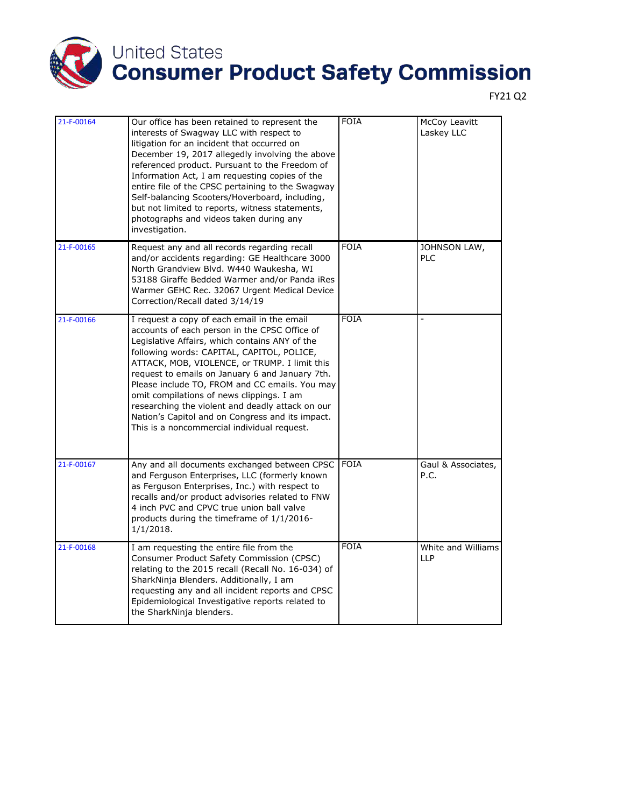

| 21-F-00164 | Our office has been retained to represent the<br>interests of Swagway LLC with respect to<br>litigation for an incident that occurred on<br>December 19, 2017 allegedly involving the above<br>referenced product. Pursuant to the Freedom of<br>Information Act, I am requesting copies of the<br>entire file of the CPSC pertaining to the Swagway<br>Self-balancing Scooters/Hoverboard, including,<br>but not limited to reports, witness statements,<br>photographs and videos taken during any<br>investigation.                                 | <b>FOIA</b> | McCoy Leavitt<br>Laskey LLC      |
|------------|--------------------------------------------------------------------------------------------------------------------------------------------------------------------------------------------------------------------------------------------------------------------------------------------------------------------------------------------------------------------------------------------------------------------------------------------------------------------------------------------------------------------------------------------------------|-------------|----------------------------------|
| 21-F-00165 | Request any and all records regarding recall<br>and/or accidents regarding: GE Healthcare 3000<br>North Grandview Blvd. W440 Waukesha, WI<br>53188 Giraffe Bedded Warmer and/or Panda iRes<br>Warmer GEHC Rec. 32067 Urgent Medical Device<br>Correction/Recall dated 3/14/19                                                                                                                                                                                                                                                                          | <b>FOIA</b> | JOHNSON LAW,<br><b>PLC</b>       |
| 21-F-00166 | I request a copy of each email in the email<br>accounts of each person in the CPSC Office of<br>Legislative Affairs, which contains ANY of the<br>following words: CAPITAL, CAPITOL, POLICE,<br>ATTACK, MOB, VIOLENCE, or TRUMP. I limit this<br>request to emails on January 6 and January 7th.<br>Please include TO, FROM and CC emails. You may<br>omit compilations of news clippings. I am<br>researching the violent and deadly attack on our<br>Nation's Capitol and on Congress and its impact.<br>This is a noncommercial individual request. | <b>FOIA</b> |                                  |
| 21-F-00167 | Any and all documents exchanged between CPSC<br>and Ferguson Enterprises, LLC (formerly known<br>as Ferguson Enterprises, Inc.) with respect to<br>recalls and/or product advisories related to FNW<br>4 inch PVC and CPVC true union ball valve<br>products during the timeframe of 1/1/2016-<br>1/1/2018.                                                                                                                                                                                                                                            | <b>FOIA</b> | Gaul & Associates,<br>P.C.       |
| 21-F-00168 | I am requesting the entire file from the<br>Consumer Product Safety Commission (CPSC)<br>relating to the 2015 recall (Recall No. 16-034) of<br>SharkNinja Blenders. Additionally, I am<br>requesting any and all incident reports and CPSC<br>Epidemiological Investigative reports related to<br>the SharkNinja blenders.                                                                                                                                                                                                                             | <b>FOIA</b> | White and Williams<br><b>LLP</b> |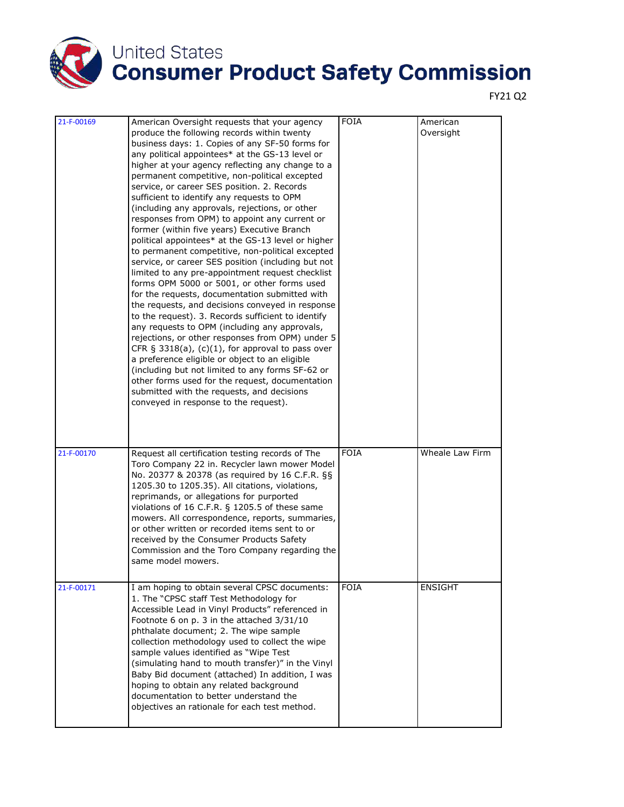

| 21-F-00169 | American Oversight requests that your agency<br>produce the following records within twenty<br>business days: 1. Copies of any SF-50 forms for<br>any political appointees* at the GS-13 level or<br>higher at your agency reflecting any change to a<br>permanent competitive, non-political excepted<br>service, or career SES position. 2. Records<br>sufficient to identify any requests to OPM<br>(including any approvals, rejections, or other<br>responses from OPM) to appoint any current or<br>former (within five years) Executive Branch<br>political appointees* at the GS-13 level or higher<br>to permanent competitive, non-political excepted<br>service, or career SES position (including but not<br>limited to any pre-appointment request checklist<br>forms OPM 5000 or 5001, or other forms used<br>for the requests, documentation submitted with<br>the requests, and decisions conveyed in response<br>to the request). 3. Records sufficient to identify<br>any requests to OPM (including any approvals,<br>rejections, or other responses from OPM) under 5<br>CFR § 3318(a), $(c)(1)$ , for approval to pass over<br>a preference eligible or object to an eligible<br>(including but not limited to any forms SF-62 or<br>other forms used for the request, documentation<br>submitted with the requests, and decisions<br>conveyed in response to the request). | <b>FOIA</b> | American<br>Oversight |
|------------|--------------------------------------------------------------------------------------------------------------------------------------------------------------------------------------------------------------------------------------------------------------------------------------------------------------------------------------------------------------------------------------------------------------------------------------------------------------------------------------------------------------------------------------------------------------------------------------------------------------------------------------------------------------------------------------------------------------------------------------------------------------------------------------------------------------------------------------------------------------------------------------------------------------------------------------------------------------------------------------------------------------------------------------------------------------------------------------------------------------------------------------------------------------------------------------------------------------------------------------------------------------------------------------------------------------------------------------------------------------------------------------------------|-------------|-----------------------|
| 21-F-00170 | Request all certification testing records of The<br>Toro Company 22 in. Recycler lawn mower Model<br>No. 20377 & 20378 (as required by 16 C.F.R. §§<br>1205.30 to 1205.35). All citations, violations,<br>reprimands, or allegations for purported<br>violations of 16 C.F.R. § 1205.5 of these same<br>mowers. All correspondence, reports, summaries,<br>or other written or recorded items sent to or<br>received by the Consumer Products Safety<br>Commission and the Toro Company regarding the<br>same model mowers.                                                                                                                                                                                                                                                                                                                                                                                                                                                                                                                                                                                                                                                                                                                                                                                                                                                                      | <b>FOIA</b> | Wheale Law Firm       |
| 21-F-00171 | I am hoping to obtain several CPSC documents:<br>1. The "CPSC staff Test Methodology for<br>Accessible Lead in Vinyl Products" referenced in<br>Footnote 6 on p. 3 in the attached 3/31/10<br>phthalate document; 2. The wipe sample<br>collection methodology used to collect the wipe<br>sample values identified as "Wipe Test<br>(simulating hand to mouth transfer)" in the Vinyl<br>Baby Bid document (attached) In addition, I was<br>hoping to obtain any related background<br>documentation to better understand the<br>objectives an rationale for each test method.                                                                                                                                                                                                                                                                                                                                                                                                                                                                                                                                                                                                                                                                                                                                                                                                                  | <b>FOIA</b> | <b>ENSIGHT</b>        |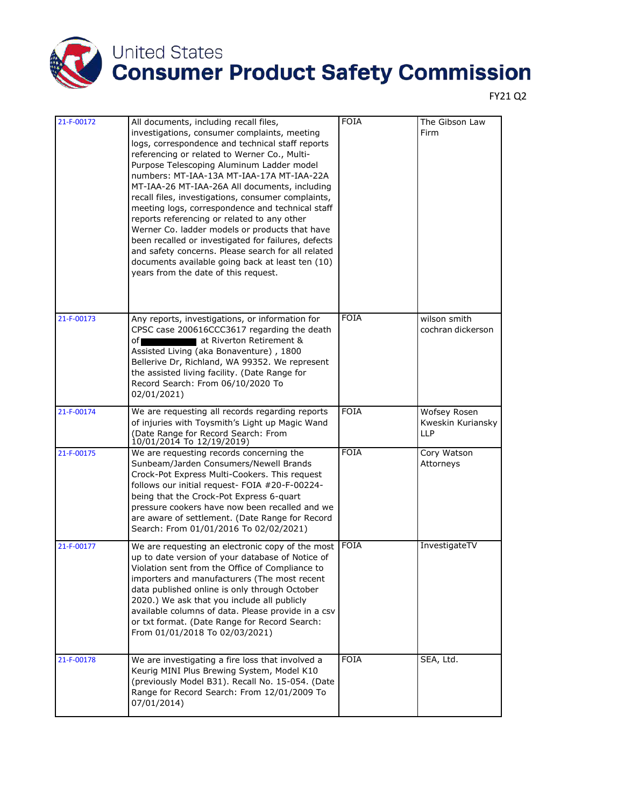

| 21-F-00172 | All documents, including recall files,<br>investigations, consumer complaints, meeting<br>logs, correspondence and technical staff reports<br>referencing or related to Werner Co., Multi-<br>Purpose Telescoping Aluminum Ladder model<br>numbers: MT-IAA-13A MT-IAA-17A MT-IAA-22A<br>MT-IAA-26 MT-IAA-26A All documents, including                                                                                                            | <b>FOIA</b> | The Gibson Law<br>Firm                          |
|------------|--------------------------------------------------------------------------------------------------------------------------------------------------------------------------------------------------------------------------------------------------------------------------------------------------------------------------------------------------------------------------------------------------------------------------------------------------|-------------|-------------------------------------------------|
|            | recall files, investigations, consumer complaints,<br>meeting logs, correspondence and technical staff<br>reports referencing or related to any other<br>Werner Co. ladder models or products that have<br>been recalled or investigated for failures, defects<br>and safety concerns. Please search for all related<br>documents available going back at least ten (10)<br>years from the date of this request.                                 |             |                                                 |
| 21-F-00173 | Any reports, investigations, or information for<br>CPSC case 200616CCC3617 regarding the death<br>at Riverton Retirement &<br>of∎<br>Assisted Living (aka Bonaventure), 1800<br>Bellerive Dr, Richland, WA 99352. We represent<br>the assisted living facility. (Date Range for<br>Record Search: From 06/10/2020 To<br>02/01/2021)                                                                                                              | <b>FOIA</b> | wilson smith<br>cochran dickerson               |
| 21-F-00174 | We are requesting all records regarding reports<br>of injuries with Toysmith's Light up Magic Wand<br>(Date Range for Record Search: From<br>10/01/2014 To 12/19/2019)                                                                                                                                                                                                                                                                           | <b>FOIA</b> | Wofsey Rosen<br>Kweskin Kuriansky<br><b>LLP</b> |
| 21-F-00175 | We are requesting records concerning the<br>Sunbeam/Jarden Consumers/Newell Brands<br>Crock-Pot Express Multi-Cookers. This request<br>follows our initial request- FOIA #20-F-00224-<br>being that the Crock-Pot Express 6-quart<br>pressure cookers have now been recalled and we<br>are aware of settlement. (Date Range for Record<br>Search: From 01/01/2016 To 02/02/2021)                                                                 | <b>FOIA</b> | Cory Watson<br>Attorneys                        |
| 21-F-00177 | We are requesting an electronic copy of the most<br>up to date version of your database of Notice of<br>Violation sent from the Office of Compliance to<br>importers and manufacturers (The most recent<br>data published online is only through October<br>2020.) We ask that you include all publicly<br>available columns of data. Please provide in a csv<br>or txt format. (Date Range for Record Search:<br>From 01/01/2018 To 02/03/2021) | <b>FOIA</b> | InvestigateTV                                   |
| 21-F-00178 | We are investigating a fire loss that involved a<br>Keurig MINI Plus Brewing System, Model K10<br>(previously Model B31). Recall No. 15-054. (Date<br>Range for Record Search: From 12/01/2009 To<br>07/01/2014)                                                                                                                                                                                                                                 | <b>FOIA</b> | SEA, Ltd.                                       |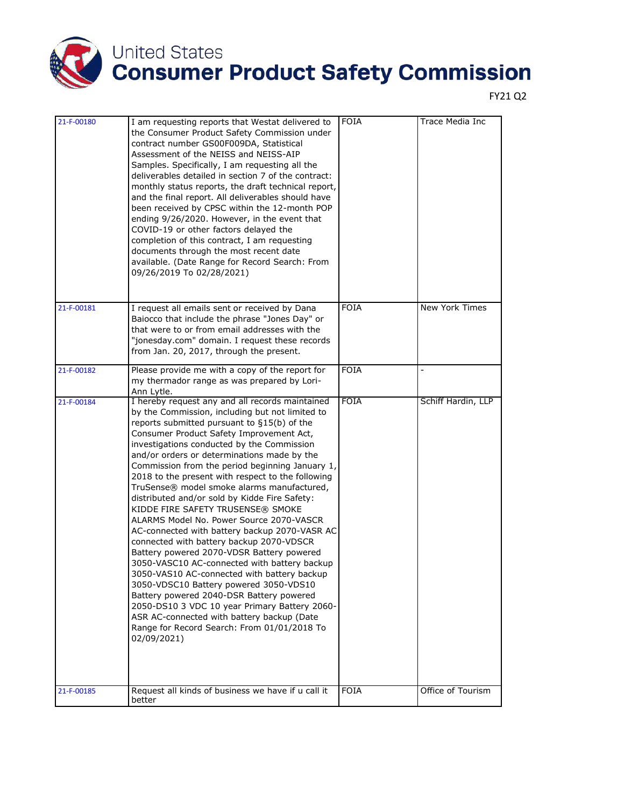

| 21-F-00180 | I am requesting reports that Westat delivered to<br>the Consumer Product Safety Commission under<br>contract number GS00F009DA, Statistical<br>Assessment of the NEISS and NEISS-AIP<br>Samples. Specifically, I am requesting all the<br>deliverables detailed in section 7 of the contract:<br>monthly status reports, the draft technical report,<br>and the final report. All deliverables should have<br>been received by CPSC within the 12-month POP<br>ending 9/26/2020. However, in the event that<br>COVID-19 or other factors delayed the<br>completion of this contract, I am requesting<br>documents through the most recent date<br>available. (Date Range for Record Search: From<br>09/26/2019 To 02/28/2021)                                                                                                                                                                                                                                                                                                                                                  | <b>FOIA</b> | Trace Media Inc    |
|------------|--------------------------------------------------------------------------------------------------------------------------------------------------------------------------------------------------------------------------------------------------------------------------------------------------------------------------------------------------------------------------------------------------------------------------------------------------------------------------------------------------------------------------------------------------------------------------------------------------------------------------------------------------------------------------------------------------------------------------------------------------------------------------------------------------------------------------------------------------------------------------------------------------------------------------------------------------------------------------------------------------------------------------------------------------------------------------------|-------------|--------------------|
| 21-F-00181 | I request all emails sent or received by Dana<br>Baiocco that include the phrase "Jones Day" or<br>that were to or from email addresses with the<br>"jonesday.com" domain. I request these records<br>from Jan. 20, 2017, through the present.                                                                                                                                                                                                                                                                                                                                                                                                                                                                                                                                                                                                                                                                                                                                                                                                                                 | <b>FOIA</b> | New York Times     |
| 21-F-00182 | Please provide me with a copy of the report for<br>my thermador range as was prepared by Lori-<br>Ann Lytle.                                                                                                                                                                                                                                                                                                                                                                                                                                                                                                                                                                                                                                                                                                                                                                                                                                                                                                                                                                   | <b>FOIA</b> |                    |
| 21-F-00184 | I hereby request any and all records maintained<br>by the Commission, including but not limited to<br>reports submitted pursuant to §15(b) of the<br>Consumer Product Safety Improvement Act,<br>investigations conducted by the Commission<br>and/or orders or determinations made by the<br>Commission from the period beginning January 1,<br>2018 to the present with respect to the following<br>TruSense® model smoke alarms manufactured,<br>distributed and/or sold by Kidde Fire Safety:<br>KIDDE FIRE SAFETY TRUSENSE® SMOKE<br>ALARMS Model No. Power Source 2070-VASCR<br>AC-connected with battery backup 2070-VASR AC<br>connected with battery backup 2070-VDSCR<br>Battery powered 2070-VDSR Battery powered<br>3050-VASC10 AC-connected with battery backup<br>3050-VAS10 AC-connected with battery backup<br>3050-VDSC10 Battery powered 3050-VDS10<br>Battery powered 2040-DSR Battery powered<br>2050-DS10 3 VDC 10 year Primary Battery 2060-<br>ASR AC-connected with battery backup (Date<br>Range for Record Search: From 01/01/2018 To<br>02/09/2021) | <b>FOIA</b> | Schiff Hardin, LLP |
| 21-F-00185 | Request all kinds of business we have if u call it<br>better                                                                                                                                                                                                                                                                                                                                                                                                                                                                                                                                                                                                                                                                                                                                                                                                                                                                                                                                                                                                                   | <b>FOIA</b> | Office of Tourism  |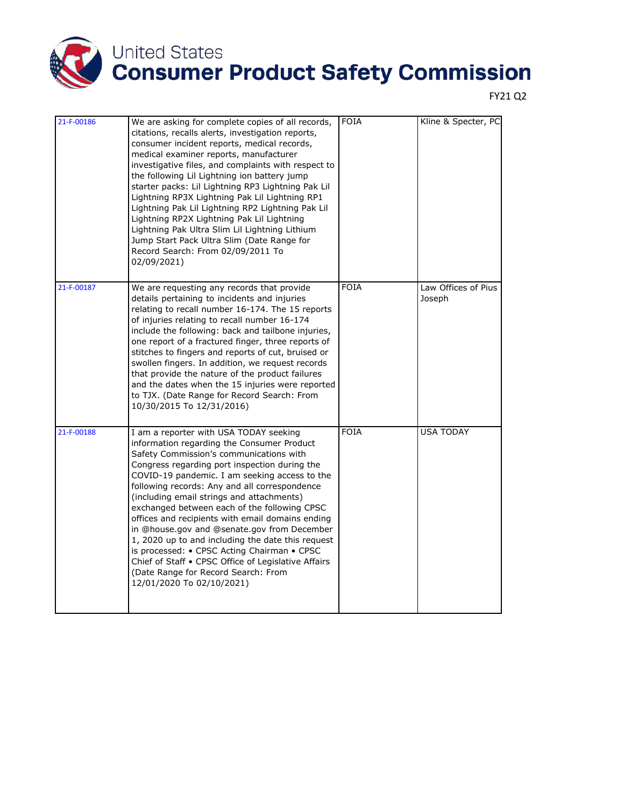

| 21-F-00186 | We are asking for complete copies of all records,<br>citations, recalls alerts, investigation reports,<br>consumer incident reports, medical records,<br>medical examiner reports, manufacturer<br>investigative files, and complaints with respect to<br>the following Lil Lightning ion battery jump<br>starter packs: Lil Lightning RP3 Lightning Pak Lil<br>Lightning RP3X Lightning Pak Lil Lightning RP1<br>Lightning Pak Lil Lightning RP2 Lightning Pak Lil<br>Lightning RP2X Lightning Pak Lil Lightning<br>Lightning Pak Ultra Slim Lil Lightning Lithium<br>Jump Start Pack Ultra Slim (Date Range for<br>Record Search: From 02/09/2011 To<br>02/09/2021)                                             | <b>FOIA</b> | Kline & Specter, PC           |
|------------|-------------------------------------------------------------------------------------------------------------------------------------------------------------------------------------------------------------------------------------------------------------------------------------------------------------------------------------------------------------------------------------------------------------------------------------------------------------------------------------------------------------------------------------------------------------------------------------------------------------------------------------------------------------------------------------------------------------------|-------------|-------------------------------|
| 21-F-00187 | We are requesting any records that provide<br>details pertaining to incidents and injuries<br>relating to recall number 16-174. The 15 reports<br>of injuries relating to recall number 16-174<br>include the following: back and tailbone injuries,<br>one report of a fractured finger, three reports of<br>stitches to fingers and reports of cut, bruised or<br>swollen fingers. In addition, we request records<br>that provide the nature of the product failures<br>and the dates when the 15 injuries were reported<br>to TJX. (Date Range for Record Search: From<br>10/30/2015 To 12/31/2016)                                                                                                           | <b>FOIA</b> | Law Offices of Pius<br>Joseph |
| 21-F-00188 | I am a reporter with USA TODAY seeking<br>information regarding the Consumer Product<br>Safety Commission's communications with<br>Congress regarding port inspection during the<br>COVID-19 pandemic. I am seeking access to the<br>following records: Any and all correspondence<br>(including email strings and attachments)<br>exchanged between each of the following CPSC<br>offices and recipients with email domains ending<br>in @house.gov and @senate.gov from December<br>1, 2020 up to and including the date this request<br>is processed: • CPSC Acting Chairman • CPSC<br>Chief of Staff • CPSC Office of Legislative Affairs<br>(Date Range for Record Search: From<br>12/01/2020 To 02/10/2021) | <b>FOIA</b> | <b>USA TODAY</b>              |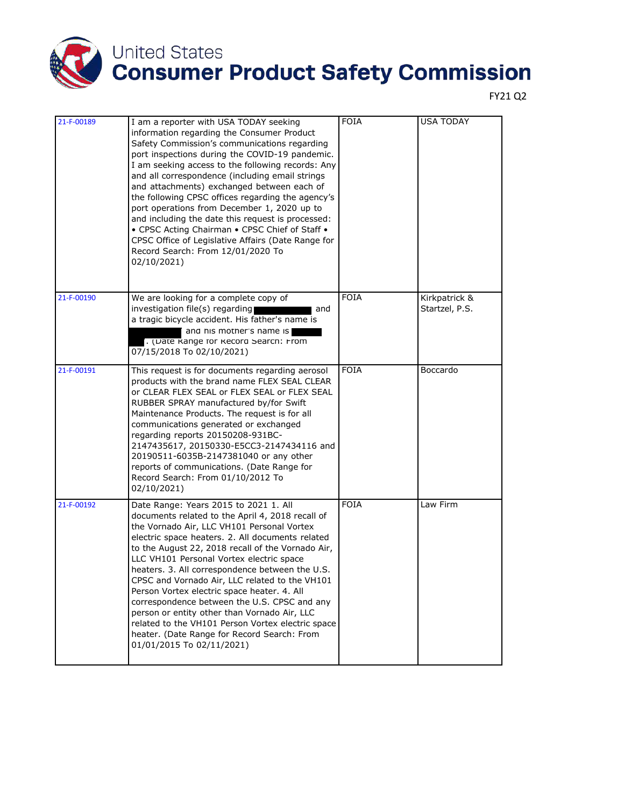

| 21-F-00189 | I am a reporter with USA TODAY seeking<br>information regarding the Consumer Product<br>Safety Commission's communications regarding<br>port inspections during the COVID-19 pandemic.<br>I am seeking access to the following records: Any<br>and all correspondence (including email strings<br>and attachments) exchanged between each of<br>the following CPSC offices regarding the agency's<br>port operations from December 1, 2020 up to<br>and including the date this request is processed:<br>• CPSC Acting Chairman • CPSC Chief of Staff •<br>CPSC Office of Legislative Affairs (Date Range for<br>Record Search: From 12/01/2020 To<br>02/10/2021)                 | <b>FOIA</b> | <b>USA TODAY</b>                |
|------------|-----------------------------------------------------------------------------------------------------------------------------------------------------------------------------------------------------------------------------------------------------------------------------------------------------------------------------------------------------------------------------------------------------------------------------------------------------------------------------------------------------------------------------------------------------------------------------------------------------------------------------------------------------------------------------------|-------------|---------------------------------|
| 21-F-00190 | We are looking for a complete copy of<br>investigation file(s) regarding<br>and<br>a tragic bicycle accident. His father's name is<br>and his mother's name is<br>. (Date Range for Record Search: From<br>07/15/2018 To 02/10/2021)                                                                                                                                                                                                                                                                                                                                                                                                                                              | <b>FOIA</b> | Kirkpatrick &<br>Startzel, P.S. |
| 21-F-00191 | This request is for documents regarding aerosol<br>products with the brand name FLEX SEAL CLEAR<br>or CLEAR FLEX SEAL or FLEX SEAL or FLEX SEAL<br>RUBBER SPRAY manufactured by/for Swift<br>Maintenance Products. The request is for all<br>communications generated or exchanged<br>regarding reports 20150208-931BC-<br>2147435617, 20150330-E5CC3-2147434116 and<br>20190511-6035B-2147381040 or any other<br>reports of communications. (Date Range for<br>Record Search: From 01/10/2012 To<br>02/10/2021)                                                                                                                                                                  | <b>FOIA</b> | Boccardo                        |
| 21-F-00192 | Date Range: Years 2015 to 2021 1. All<br>documents related to the April 4, 2018 recall of<br>the Vornado Air, LLC VH101 Personal Vortex<br>electric space heaters. 2. All documents related<br>to the August 22, 2018 recall of the Vornado Air,<br>LLC VH101 Personal Vortex electric space<br>heaters. 3. All correspondence between the U.S.<br>CPSC and Vornado Air, LLC related to the VH101<br>Person Vortex electric space heater. 4. All<br>correspondence between the U.S. CPSC and any<br>person or entity other than Vornado Air, LLC<br>related to the VH101 Person Vortex electric space<br>heater. (Date Range for Record Search: From<br>01/01/2015 To 02/11/2021) | <b>FOIA</b> | Law Firm                        |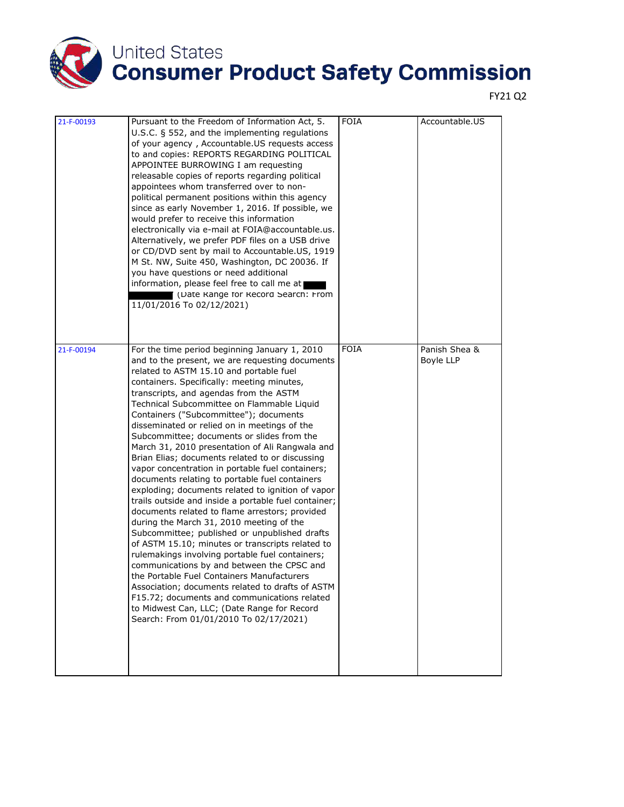

| 21-F-00193 | Pursuant to the Freedom of Information Act, 5.<br>U.S.C. § 552, and the implementing regulations<br>of your agency, Accountable.US requests access<br>to and copies: REPORTS REGARDING POLITICAL<br>APPOINTEE BURROWING I am requesting<br>releasable copies of reports regarding political<br>appointees whom transferred over to non-<br>political permanent positions within this agency<br>since as early November 1, 2016. If possible, we<br>would prefer to receive this information<br>electronically via e-mail at FOIA@accountable.us.<br>Alternatively, we prefer PDF files on a USB drive<br>or CD/DVD sent by mail to Accountable.US, 1919<br>M St. NW, Suite 450, Washington, DC 20036. If<br>you have questions or need additional<br>information, please feel free to call me at<br>(Date Range for Record Search: From<br>11/01/2016 To 02/12/2021)                                                                                                                                                                                                                                                                                                                                                                                                                              | <b>FOIA</b> | Accountable.US                    |
|------------|---------------------------------------------------------------------------------------------------------------------------------------------------------------------------------------------------------------------------------------------------------------------------------------------------------------------------------------------------------------------------------------------------------------------------------------------------------------------------------------------------------------------------------------------------------------------------------------------------------------------------------------------------------------------------------------------------------------------------------------------------------------------------------------------------------------------------------------------------------------------------------------------------------------------------------------------------------------------------------------------------------------------------------------------------------------------------------------------------------------------------------------------------------------------------------------------------------------------------------------------------------------------------------------------------|-------------|-----------------------------------|
| 21-F-00194 | For the time period beginning January 1, 2010<br>and to the present, we are requesting documents<br>related to ASTM 15.10 and portable fuel<br>containers. Specifically: meeting minutes,<br>transcripts, and agendas from the ASTM<br>Technical Subcommittee on Flammable Liquid<br>Containers ("Subcommittee"); documents<br>disseminated or relied on in meetings of the<br>Subcommittee; documents or slides from the<br>March 31, 2010 presentation of Ali Rangwala and<br>Brian Elias; documents related to or discussing<br>vapor concentration in portable fuel containers;<br>documents relating to portable fuel containers<br>exploding; documents related to ignition of vapor<br>trails outside and inside a portable fuel container;<br>documents related to flame arrestors; provided<br>during the March 31, 2010 meeting of the<br>Subcommittee; published or unpublished drafts<br>of ASTM 15.10; minutes or transcripts related to<br>rulemakings involving portable fuel containers;<br>communications by and between the CPSC and<br>the Portable Fuel Containers Manufacturers<br>Association; documents related to drafts of ASTM<br>F15.72; documents and communications related<br>to Midwest Can, LLC; (Date Range for Record<br>Search: From 01/01/2010 To 02/17/2021) | <b>FOIA</b> | Panish Shea &<br><b>Boyle LLP</b> |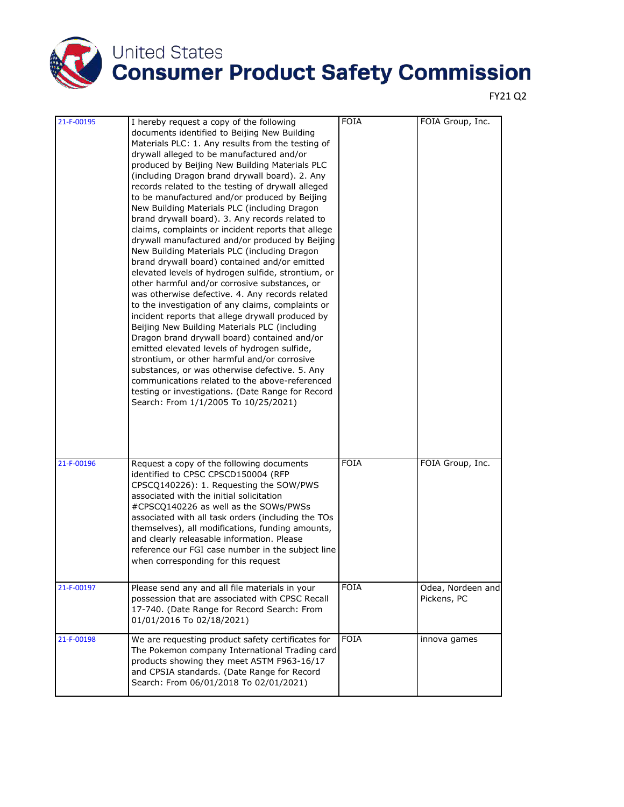

| 21-F-00195 | I hereby request a copy of the following<br>documents identified to Beijing New Building<br>Materials PLC: 1. Any results from the testing of<br>drywall alleged to be manufactured and/or<br>produced by Beijing New Building Materials PLC<br>(including Dragon brand drywall board). 2. Any<br>records related to the testing of drywall alleged<br>to be manufactured and/or produced by Beijing<br>New Building Materials PLC (including Dragon<br>brand drywall board). 3. Any records related to<br>claims, complaints or incident reports that allege<br>drywall manufactured and/or produced by Beijing<br>New Building Materials PLC (including Dragon<br>brand drywall board) contained and/or emitted<br>elevated levels of hydrogen sulfide, strontium, or<br>other harmful and/or corrosive substances, or<br>was otherwise defective. 4. Any records related<br>to the investigation of any claims, complaints or<br>incident reports that allege drywall produced by<br>Beijing New Building Materials PLC (including<br>Dragon brand drywall board) contained and/or<br>emitted elevated levels of hydrogen sulfide,<br>strontium, or other harmful and/or corrosive<br>substances, or was otherwise defective. 5. Any<br>communications related to the above-referenced<br>testing or investigations. (Date Range for Record<br>Search: From 1/1/2005 To 10/25/2021) | <b>FOIA</b> | FOIA Group, Inc.                 |
|------------|----------------------------------------------------------------------------------------------------------------------------------------------------------------------------------------------------------------------------------------------------------------------------------------------------------------------------------------------------------------------------------------------------------------------------------------------------------------------------------------------------------------------------------------------------------------------------------------------------------------------------------------------------------------------------------------------------------------------------------------------------------------------------------------------------------------------------------------------------------------------------------------------------------------------------------------------------------------------------------------------------------------------------------------------------------------------------------------------------------------------------------------------------------------------------------------------------------------------------------------------------------------------------------------------------------------------------------------------------------------------------------------|-------------|----------------------------------|
| 21-F-00196 | Request a copy of the following documents<br>identified to CPSC CPSCD150004 (RFP<br>CPSCQ140226): 1. Requesting the SOW/PWS<br>associated with the initial solicitation<br>#CPSCQ140226 as well as the SOWs/PWSs<br>associated with all task orders (including the TOs<br>themselves), all modifications, funding amounts,<br>and clearly releasable information. Please<br>reference our FGI case number in the subject line<br>when corresponding for this request                                                                                                                                                                                                                                                                                                                                                                                                                                                                                                                                                                                                                                                                                                                                                                                                                                                                                                                   | <b>FOIA</b> | FOIA Group, Inc.                 |
| 21-F-00197 | Please send any and all file materials in your<br>possession that are associated with CPSC Recall<br>17-740. (Date Range for Record Search: From<br>01/01/2016 To 02/18/2021)                                                                                                                                                                                                                                                                                                                                                                                                                                                                                                                                                                                                                                                                                                                                                                                                                                                                                                                                                                                                                                                                                                                                                                                                          | <b>FOIA</b> | Odea, Nordeen and<br>Pickens, PC |
| 21-F-00198 | We are requesting product safety certificates for<br>The Pokemon company International Trading card<br>products showing they meet ASTM F963-16/17<br>and CPSIA standards. (Date Range for Record<br>Search: From 06/01/2018 To 02/01/2021)                                                                                                                                                                                                                                                                                                                                                                                                                                                                                                                                                                                                                                                                                                                                                                                                                                                                                                                                                                                                                                                                                                                                             | <b>FOIA</b> | innova games                     |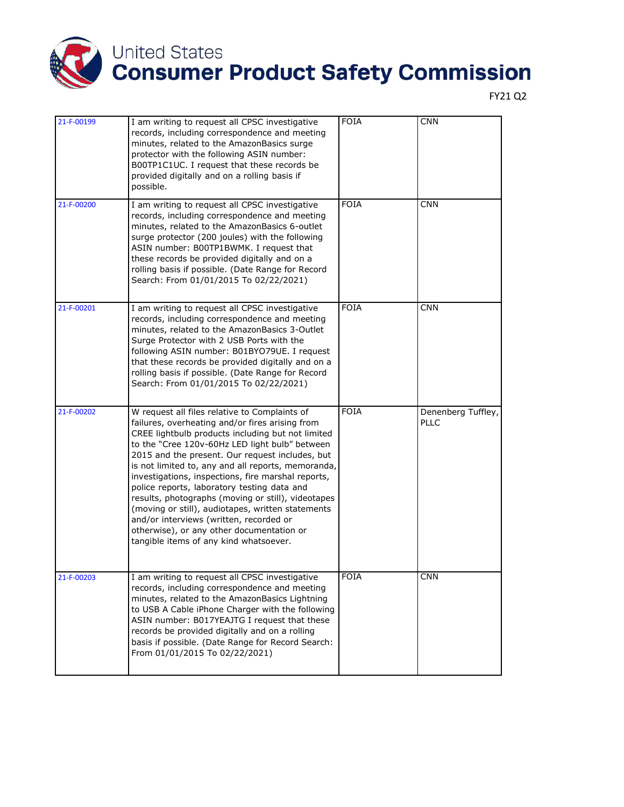

| 21-F-00199 | I am writing to request all CPSC investigative<br>records, including correspondence and meeting<br>minutes, related to the AmazonBasics surge<br>protector with the following ASIN number:<br>B00TP1C1UC. I request that these records be<br>provided digitally and on a rolling basis if<br>possible.                                                                                                                                                                                                                                                                                                                                                             | <b>FOIA</b> | <b>CNN</b>                        |
|------------|--------------------------------------------------------------------------------------------------------------------------------------------------------------------------------------------------------------------------------------------------------------------------------------------------------------------------------------------------------------------------------------------------------------------------------------------------------------------------------------------------------------------------------------------------------------------------------------------------------------------------------------------------------------------|-------------|-----------------------------------|
| 21-F-00200 | I am writing to request all CPSC investigative<br>records, including correspondence and meeting<br>minutes, related to the AmazonBasics 6-outlet<br>surge protector (200 joules) with the following<br>ASIN number: B00TP1BWMK. I request that<br>these records be provided digitally and on a<br>rolling basis if possible. (Date Range for Record<br>Search: From 01/01/2015 To 02/22/2021)                                                                                                                                                                                                                                                                      | <b>FOIA</b> | <b>CNN</b>                        |
| 21-F-00201 | I am writing to request all CPSC investigative<br>records, including correspondence and meeting<br>minutes, related to the AmazonBasics 3-Outlet<br>Surge Protector with 2 USB Ports with the<br>following ASIN number: B01BYO79UE. I request<br>that these records be provided digitally and on a<br>rolling basis if possible. (Date Range for Record<br>Search: From 01/01/2015 To 02/22/2021)                                                                                                                                                                                                                                                                  | <b>FOIA</b> | <b>CNN</b>                        |
| 21-F-00202 | W request all files relative to Complaints of<br>failures, overheating and/or fires arising from<br>CREE lightbulb products including but not limited<br>to the "Cree 120v-60Hz LED light bulb" between<br>2015 and the present. Our request includes, but<br>is not limited to, any and all reports, memoranda,<br>investigations, inspections, fire marshal reports,<br>police reports, laboratory testing data and<br>results, photographs (moving or still), videotapes<br>(moving or still), audiotapes, written statements<br>and/or interviews (written, recorded or<br>otherwise), or any other documentation or<br>tangible items of any kind whatsoever. | <b>FOIA</b> | Denenberg Tuffley,<br><b>PLLC</b> |
| 21-F-00203 | I am writing to request all CPSC investigative<br>records, including correspondence and meeting<br>minutes, related to the AmazonBasics Lightning<br>to USB A Cable iPhone Charger with the following<br>ASIN number: B017YEAJTG I request that these<br>records be provided digitally and on a rolling<br>basis if possible. (Date Range for Record Search:<br>From 01/01/2015 To 02/22/2021)                                                                                                                                                                                                                                                                     | <b>FOIA</b> | <b>CNN</b>                        |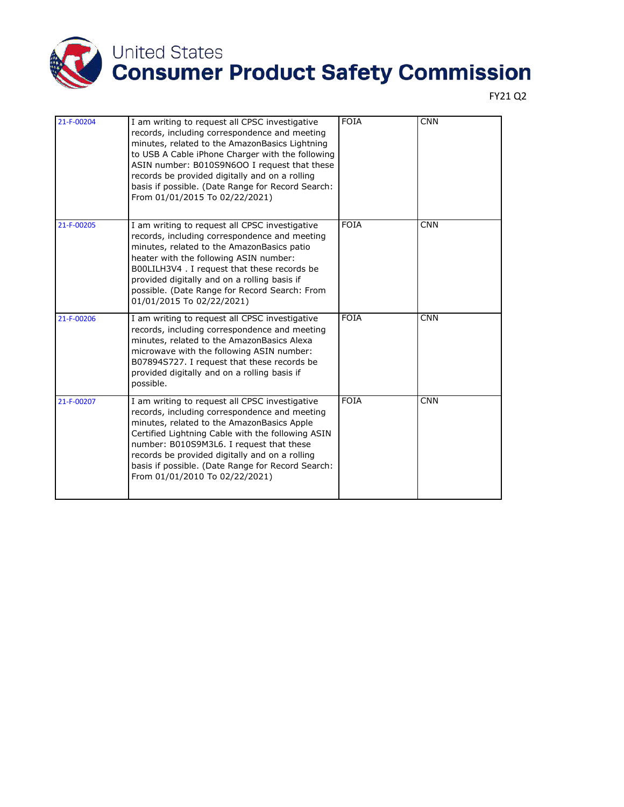

| 21-F-00204 | I am writing to request all CPSC investigative<br>records, including correspondence and meeting<br>minutes, related to the AmazonBasics Lightning<br>to USB A Cable iPhone Charger with the following<br>ASIN number: B010S9N6OO I request that these<br>records be provided digitally and on a rolling<br>basis if possible. (Date Range for Record Search:<br>From 01/01/2015 To 02/22/2021) | <b>FOIA</b> | <b>CNN</b> |
|------------|------------------------------------------------------------------------------------------------------------------------------------------------------------------------------------------------------------------------------------------------------------------------------------------------------------------------------------------------------------------------------------------------|-------------|------------|
| 21-F-00205 | I am writing to request all CPSC investigative<br>records, including correspondence and meeting<br>minutes, related to the AmazonBasics patio<br>heater with the following ASIN number:<br>B00LILH3V4. I request that these records be<br>provided digitally and on a rolling basis if<br>possible. (Date Range for Record Search: From<br>01/01/2015 To 02/22/2021)                           | <b>FOIA</b> | <b>CNN</b> |
| 21-F-00206 | I am writing to request all CPSC investigative<br>records, including correspondence and meeting<br>minutes, related to the AmazonBasics Alexa<br>microwave with the following ASIN number:<br>B07894S727. I request that these records be<br>provided digitally and on a rolling basis if<br>possible.                                                                                         | <b>FOIA</b> | <b>CNN</b> |
| 21-F-00207 | I am writing to request all CPSC investigative<br>records, including correspondence and meeting<br>minutes, related to the AmazonBasics Apple<br>Certified Lightning Cable with the following ASIN<br>number: B010S9M3L6. I request that these<br>records be provided digitally and on a rolling<br>basis if possible. (Date Range for Record Search:<br>From 01/01/2010 To 02/22/2021)        | <b>FOIA</b> | <b>CNN</b> |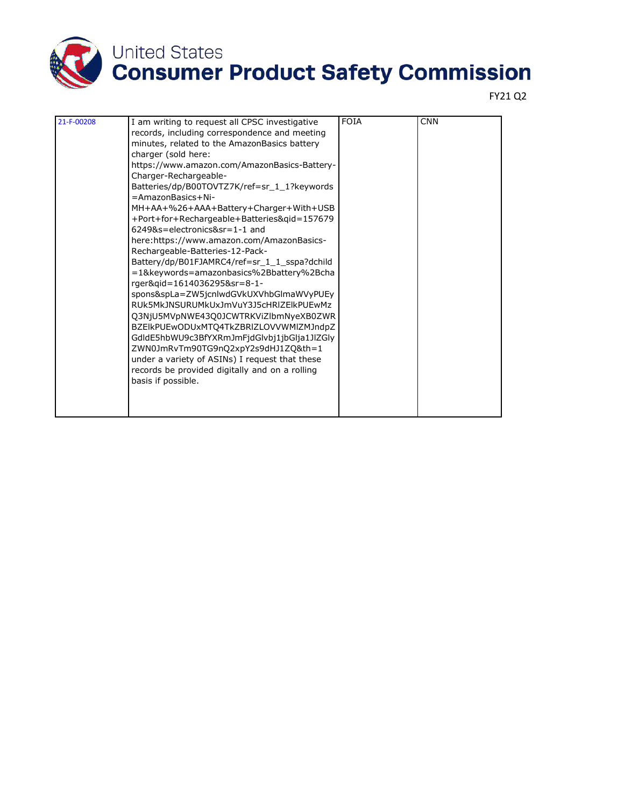

| 21-F-00208 | I am writing to request all CPSC investigative | <b>FOIA</b> | <b>CNN</b> |
|------------|------------------------------------------------|-------------|------------|
|            | records, including correspondence and meeting  |             |            |
|            | minutes, related to the AmazonBasics battery   |             |            |
|            | charger (sold here:                            |             |            |
|            | https://www.amazon.com/AmazonBasics-Battery-   |             |            |
|            | Charger-Rechargeable-                          |             |            |
|            | Batteries/dp/B00TOVTZ7K/ref=sr 1 1?keywords    |             |            |
|            | =AmazonBasics+Ni-                              |             |            |
|            | MH+AA+%26+AAA+Battery+Charger+With+USB         |             |            |
|            | +Port+for+Rechargeable+Batteries&qid=157679    |             |            |
|            | 6249&s=electronics&sr=1-1 and                  |             |            |
|            | here:https://www.amazon.com/AmazonBasics-      |             |            |
|            | Rechargeable-Batteries-12-Pack-                |             |            |
|            | Battery/dp/B01FJAMRC4/ref=sr_1_1_sspa?dchild   |             |            |
|            | =1&keywords=amazonbasics%2Bbattery%2Bcha       |             |            |
|            | rger&gid=1614036295&sr=8-1-                    |             |            |
|            | spons&spLa=ZW5jcnlwdGVkUXVhbGlmaWVyPUEy        |             |            |
|            | RUk5MkJNSURUMkUxJmVuY3J5cHRIZElkPUEwMz         |             |            |
|            | Q3NjU5MVpNWE43Q0JCWTRKViZlbmNyeXB0ZWR          |             |            |
|            | BZEIkPUEwODUxMTQ4TkZBRIZLOVVWMIZMJndpZ         |             |            |
|            | GdldE5hbWU9c3BfYXRmJmFjdGlvbj1jbGlja1JlZGly    |             |            |
|            | ZWN0JmRvTm90TG9nQ2xpY2s9dHJ1ZQ&th=1            |             |            |
|            | under a variety of ASINs) I request that these |             |            |
|            | records be provided digitally and on a rolling |             |            |
|            | basis if possible.                             |             |            |
|            |                                                |             |            |
|            |                                                |             |            |
|            |                                                |             |            |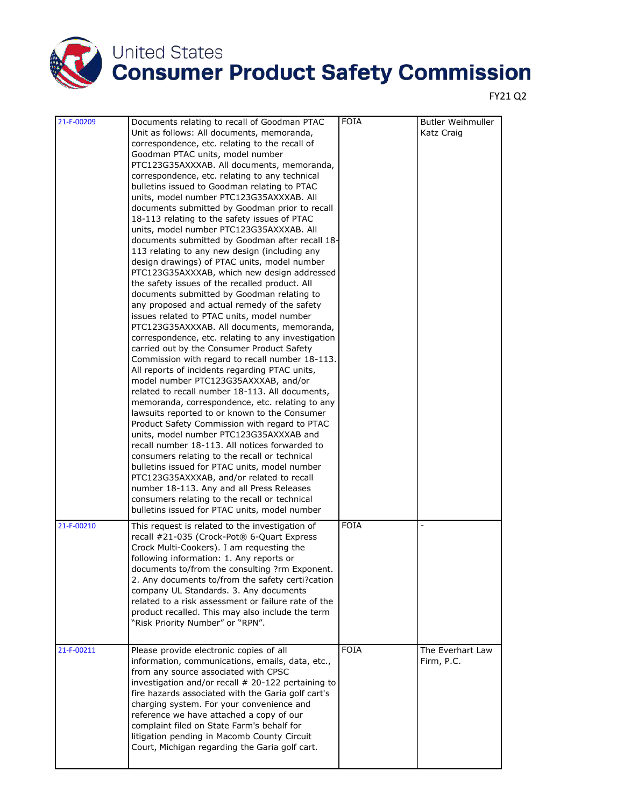

| 21-F-00209 | Documents relating to recall of Goodman PTAC<br>Unit as follows: All documents, memoranda,<br>correspondence, etc. relating to the recall of<br>Goodman PTAC units, model number<br>PTC123G35AXXXAB. All documents, memoranda,<br>correspondence, etc. relating to any technical<br>bulletins issued to Goodman relating to PTAC<br>units, model number PTC123G35AXXXAB. All<br>documents submitted by Goodman prior to recall<br>18-113 relating to the safety issues of PTAC<br>units, model number PTC123G35AXXXAB. All<br>documents submitted by Goodman after recall 18-<br>113 relating to any new design (including any<br>design drawings) of PTAC units, model number<br>PTC123G35AXXXAB, which new design addressed<br>the safety issues of the recalled product. All<br>documents submitted by Goodman relating to<br>any proposed and actual remedy of the safety<br>issues related to PTAC units, model number<br>PTC123G35AXXXAB. All documents, memoranda,<br>correspondence, etc. relating to any investigation<br>carried out by the Consumer Product Safety<br>Commission with regard to recall number 18-113.<br>All reports of incidents regarding PTAC units,<br>model number PTC123G35AXXXAB, and/or<br>related to recall number 18-113. All documents,<br>memoranda, correspondence, etc. relating to any<br>lawsuits reported to or known to the Consumer<br>Product Safety Commission with regard to PTAC<br>units, model number PTC123G35AXXXAB and<br>recall number 18-113. All notices forwarded to<br>consumers relating to the recall or technical<br>bulletins issued for PTAC units, model number<br>PTC123G35AXXXAB, and/or related to recall<br>number 18-113. Any and all Press Releases<br>consumers relating to the recall or technical<br>bulletins issued for PTAC units, model number | <b>FOIA</b> | <b>Butler Weihmuller</b><br>Katz Craig |
|------------|-------------------------------------------------------------------------------------------------------------------------------------------------------------------------------------------------------------------------------------------------------------------------------------------------------------------------------------------------------------------------------------------------------------------------------------------------------------------------------------------------------------------------------------------------------------------------------------------------------------------------------------------------------------------------------------------------------------------------------------------------------------------------------------------------------------------------------------------------------------------------------------------------------------------------------------------------------------------------------------------------------------------------------------------------------------------------------------------------------------------------------------------------------------------------------------------------------------------------------------------------------------------------------------------------------------------------------------------------------------------------------------------------------------------------------------------------------------------------------------------------------------------------------------------------------------------------------------------------------------------------------------------------------------------------------------------------------------------------------------------------------------------------------------------------------------------------------|-------------|----------------------------------------|
| 21-F-00210 | This request is related to the investigation of<br>recall #21-035 (Crock-Pot® 6-Quart Express<br>Crock Multi-Cookers). I am requesting the<br>following information: 1. Any reports or<br>documents to/from the consulting ?rm Exponent.<br>2. Any documents to/from the safety certi?cation<br>company UL Standards. 3. Any documents<br>related to a risk assessment or failure rate of the<br>product recalled. This may also include the term<br>"Risk Priority Number" or "RPN".                                                                                                                                                                                                                                                                                                                                                                                                                                                                                                                                                                                                                                                                                                                                                                                                                                                                                                                                                                                                                                                                                                                                                                                                                                                                                                                                         | <b>FOIA</b> |                                        |
| 21-F-00211 | Please provide electronic copies of all<br>information, communications, emails, data, etc.,<br>from any source associated with CPSC<br>investigation and/or recall # 20-122 pertaining to<br>fire hazards associated with the Garia golf cart's<br>charging system. For your convenience and<br>reference we have attached a copy of our<br>complaint filed on State Farm's behalf for<br>litigation pending in Macomb County Circuit<br>Court, Michigan regarding the Garia golf cart.                                                                                                                                                                                                                                                                                                                                                                                                                                                                                                                                                                                                                                                                                                                                                                                                                                                                                                                                                                                                                                                                                                                                                                                                                                                                                                                                       | <b>FOIA</b> | The Everhart Law<br>Firm, P.C.         |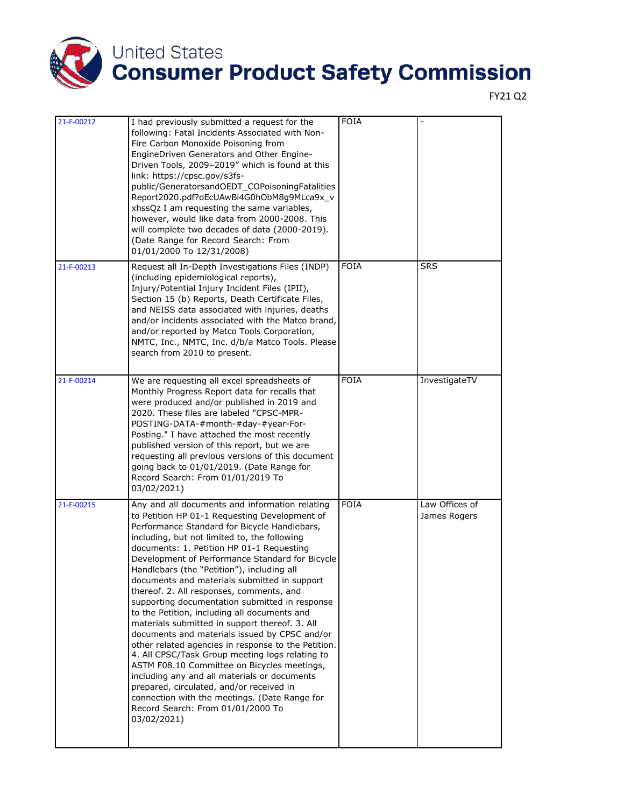

| 21-F-00212 | I had previously submitted a request for the<br>following: Fatal Incidents Associated with Non-<br>Fire Carbon Monoxide Poisoning from<br>EngineDriven Generators and Other Engine-<br>Driven Tools, 2009-2019" which is found at this<br>link: https://cpsc.gov/s3fs-<br>public/GeneratorsandOEDT_COPoisoningFatalities<br>Report2020.pdf?oEcUAwBi4G0hObM8g9MLca9x_v<br>xhssQz I am requesting the same variables,<br>however, would like data from 2000-2008. This<br>will complete two decades of data (2000-2019).<br>(Date Range for Record Search: From<br>01/01/2000 To 12/31/2008)                                                                                                                                                                                                                                                                                                                                                                                                               | <b>FOIA</b> |                                |
|------------|----------------------------------------------------------------------------------------------------------------------------------------------------------------------------------------------------------------------------------------------------------------------------------------------------------------------------------------------------------------------------------------------------------------------------------------------------------------------------------------------------------------------------------------------------------------------------------------------------------------------------------------------------------------------------------------------------------------------------------------------------------------------------------------------------------------------------------------------------------------------------------------------------------------------------------------------------------------------------------------------------------|-------------|--------------------------------|
| 21-F-00213 | Request all In-Depth Investigations Files (INDP)<br>(including epidemiological reports),<br>Injury/Potential Injury Incident Files (IPII),<br>Section 15 (b) Reports, Death Certificate Files,<br>and NEISS data associated with injuries, deaths<br>and/or incidents associated with the Matco brand,<br>and/or reported by Matco Tools Corporation,<br>NMTC, Inc., NMTC, Inc. d/b/a Matco Tools. Please<br>search from 2010 to present.                                                                                                                                                                                                                                                                                                                                                                                                                                                                                                                                                                | <b>FOIA</b> | <b>SRS</b>                     |
| 21-F-00214 | We are requesting all excel spreadsheets of<br>Monthly Progress Report data for recalls that<br>were produced and/or published in 2019 and<br>2020. These files are labeled "CPSC-MPR-<br>POSTING-DATA-#month-#day-#year-For-<br>Posting." I have attached the most recently<br>published version of this report, but we are<br>requesting all previous versions of this document<br>going back to 01/01/2019. (Date Range for<br>Record Search: From 01/01/2019 To<br>03/02/2021)                                                                                                                                                                                                                                                                                                                                                                                                                                                                                                                       | <b>FOIA</b> | InvestigateTV                  |
| 21-F-00215 | Any and all documents and information relating<br>to Petition HP 01-1 Requesting Development of<br>Performance Standard for Bicycle Handlebars,<br>including, but not limited to, the following<br>documents: 1. Petition HP 01-1 Requesting<br>Development of Performance Standard for Bicycle<br>Handlebars (the "Petition"), including all<br>documents and materials submitted in support<br>thereof. 2. All responses, comments, and<br>supporting documentation submitted in response<br>to the Petition, including all documents and<br>materials submitted in support thereof. 3. All<br>documents and materials issued by CPSC and/or<br>other related agencies in response to the Petition.<br>4. All CPSC/Task Group meeting logs relating to<br>ASTM F08.10 Committee on Bicycles meetings,<br>including any and all materials or documents<br>prepared, circulated, and/or received in<br>connection with the meetings. (Date Range for<br>Record Search: From 01/01/2000 To<br>03/02/2021) | <b>FOIA</b> | Law Offices of<br>James Rogers |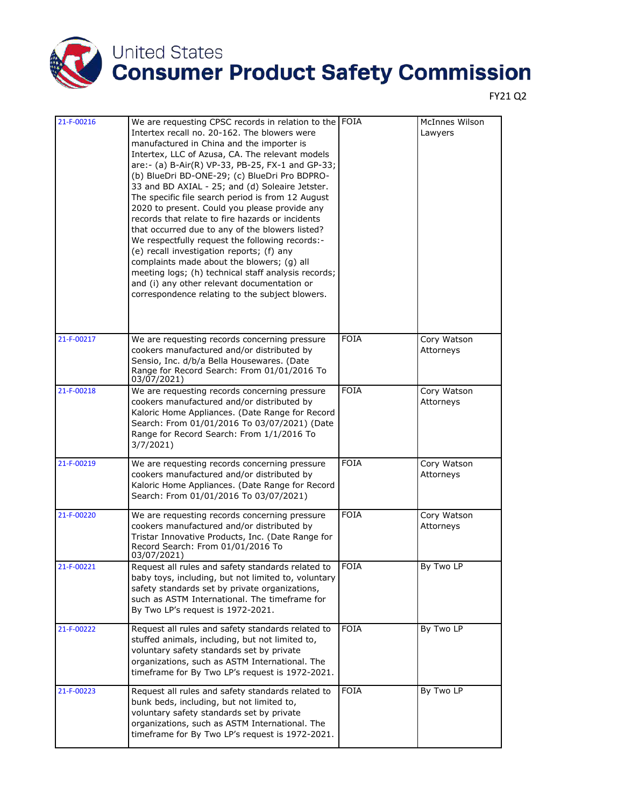

| 21-F-00216 | We are requesting CPSC records in relation to the FOIA<br>Intertex recall no. 20-162. The blowers were<br>manufactured in China and the importer is<br>Intertex, LLC of Azusa, CA. The relevant models<br>are: - (a) B-Air(R) VP-33, PB-25, FX-1 and GP-33;<br>(b) BlueDri BD-ONE-29; (c) BlueDri Pro BDPRO-<br>33 and BD AXIAL - 25; and (d) Soleaire Jetster.<br>The specific file search period is from 12 August<br>2020 to present. Could you please provide any<br>records that relate to fire hazards or incidents |             | <b>McInnes Wilson</b><br>Lawyers |
|------------|---------------------------------------------------------------------------------------------------------------------------------------------------------------------------------------------------------------------------------------------------------------------------------------------------------------------------------------------------------------------------------------------------------------------------------------------------------------------------------------------------------------------------|-------------|----------------------------------|
|            | that occurred due to any of the blowers listed?<br>We respectfully request the following records:-<br>(e) recall investigation reports; (f) any<br>complaints made about the blowers; (g) all<br>meeting logs; (h) technical staff analysis records;<br>and (i) any other relevant documentation or<br>correspondence relating to the subject blowers.                                                                                                                                                                    |             |                                  |
| 21-F-00217 | We are requesting records concerning pressure<br>cookers manufactured and/or distributed by<br>Sensio, Inc. d/b/a Bella Housewares. (Date<br>Range for Record Search: From 01/01/2016 To<br>03/07/2021)                                                                                                                                                                                                                                                                                                                   | <b>FOIA</b> | Cory Watson<br>Attorneys         |
| 21-F-00218 | We are requesting records concerning pressure<br>cookers manufactured and/or distributed by<br>Kaloric Home Appliances. (Date Range for Record<br>Search: From 01/01/2016 To 03/07/2021) (Date<br>Range for Record Search: From 1/1/2016 To<br>3/7/2021                                                                                                                                                                                                                                                                   | <b>FOIA</b> | Cory Watson<br>Attorneys         |
| 21-F-00219 | We are requesting records concerning pressure<br>cookers manufactured and/or distributed by<br>Kaloric Home Appliances. (Date Range for Record<br>Search: From 01/01/2016 To 03/07/2021)                                                                                                                                                                                                                                                                                                                                  | <b>FOIA</b> | Cory Watson<br>Attorneys         |
| 21-F-00220 | We are requesting records concerning pressure<br>cookers manufactured and/or distributed by<br>Tristar Innovative Products, Inc. (Date Range for<br>Record Search: From 01/01/2016 To<br>03/07/2021)                                                                                                                                                                                                                                                                                                                      | <b>FOIA</b> | Cory Watson<br>Attorneys         |
| 21-F-00221 | Request all rules and safety standards related to<br>baby toys, including, but not limited to, voluntary<br>safety standards set by private organizations,<br>such as ASTM International. The timeframe for<br>By Two LP's request is 1972-2021.                                                                                                                                                                                                                                                                          | <b>FOIA</b> | By Two LP                        |
| 21-F-00222 | Request all rules and safety standards related to<br>stuffed animals, including, but not limited to,<br>voluntary safety standards set by private<br>organizations, such as ASTM International. The<br>timeframe for By Two LP's request is 1972-2021.                                                                                                                                                                                                                                                                    | <b>FOIA</b> | By Two LP                        |
| 21-F-00223 | Request all rules and safety standards related to<br>bunk beds, including, but not limited to,<br>voluntary safety standards set by private<br>organizations, such as ASTM International. The<br>timeframe for By Two LP's request is 1972-2021.                                                                                                                                                                                                                                                                          | <b>FOIA</b> | By Two LP                        |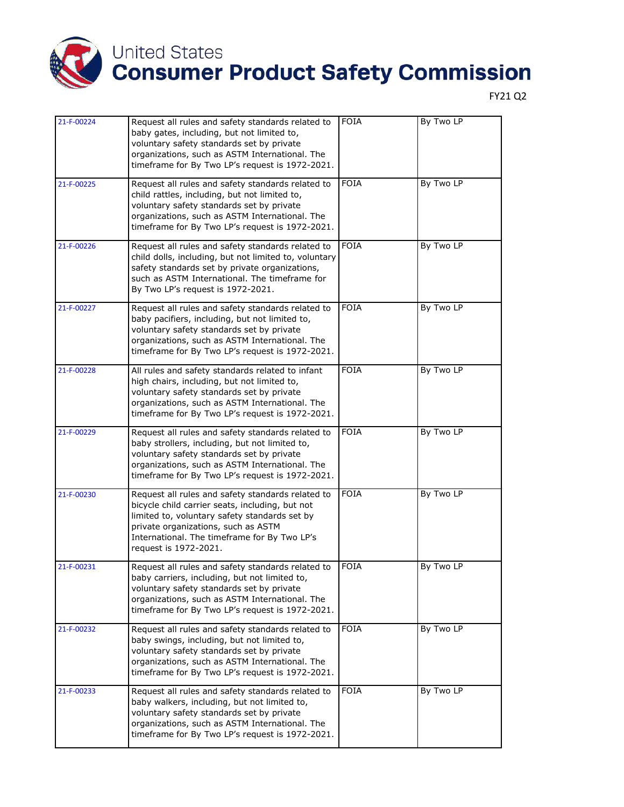

| 21-F-00224 | Request all rules and safety standards related to<br>baby gates, including, but not limited to,                                                                                                                                                                       | <b>FOIA</b> | By Two LP |
|------------|-----------------------------------------------------------------------------------------------------------------------------------------------------------------------------------------------------------------------------------------------------------------------|-------------|-----------|
|            | voluntary safety standards set by private<br>organizations, such as ASTM International. The<br>timeframe for By Two LP's request is 1972-2021.                                                                                                                        |             |           |
| 21-F-00225 | Request all rules and safety standards related to<br>child rattles, including, but not limited to,<br>voluntary safety standards set by private<br>organizations, such as ASTM International. The<br>timeframe for By Two LP's request is 1972-2021.                  | <b>FOIA</b> | By Two LP |
| 21-F-00226 | Request all rules and safety standards related to<br>child dolls, including, but not limited to, voluntary<br>safety standards set by private organizations,<br>such as ASTM International. The timeframe for<br>By Two LP's request is 1972-2021.                    | <b>FOIA</b> | By Two LP |
| 21-F-00227 | Request all rules and safety standards related to<br>baby pacifiers, including, but not limited to,<br>voluntary safety standards set by private<br>organizations, such as ASTM International. The<br>timeframe for By Two LP's request is 1972-2021.                 | <b>FOIA</b> | By Two LP |
| 21-F-00228 | All rules and safety standards related to infant<br>high chairs, including, but not limited to,<br>voluntary safety standards set by private<br>organizations, such as ASTM International. The<br>timeframe for By Two LP's request is 1972-2021.                     | <b>FOIA</b> | By Two LP |
| 21-F-00229 | Request all rules and safety standards related to<br>baby strollers, including, but not limited to,<br>voluntary safety standards set by private<br>organizations, such as ASTM International. The<br>timeframe for By Two LP's request is 1972-2021.                 | <b>FOIA</b> | By Two LP |
| 21-F-00230 | Request all rules and safety standards related to<br>bicycle child carrier seats, including, but not<br>limited to, voluntary safety standards set by<br>private organizations, such as ASTM<br>International. The timeframe for By Two LP's<br>request is 1972-2021. | <b>FOIA</b> | By Two LP |
| 21-F-00231 | Request all rules and safety standards related to<br>baby carriers, including, but not limited to,<br>voluntary safety standards set by private<br>organizations, such as ASTM International. The<br>timeframe for By Two LP's request is 1972-2021.                  | <b>FOIA</b> | By Two LP |
| 21-F-00232 | Request all rules and safety standards related to<br>baby swings, including, but not limited to,<br>voluntary safety standards set by private<br>organizations, such as ASTM International. The<br>timeframe for By Two LP's request is 1972-2021.                    | FOIA        | By Two LP |
| 21-F-00233 | Request all rules and safety standards related to<br>baby walkers, including, but not limited to,<br>voluntary safety standards set by private<br>organizations, such as ASTM International. The<br>timeframe for By Two LP's request is 1972-2021.                   | <b>FOIA</b> | By Two LP |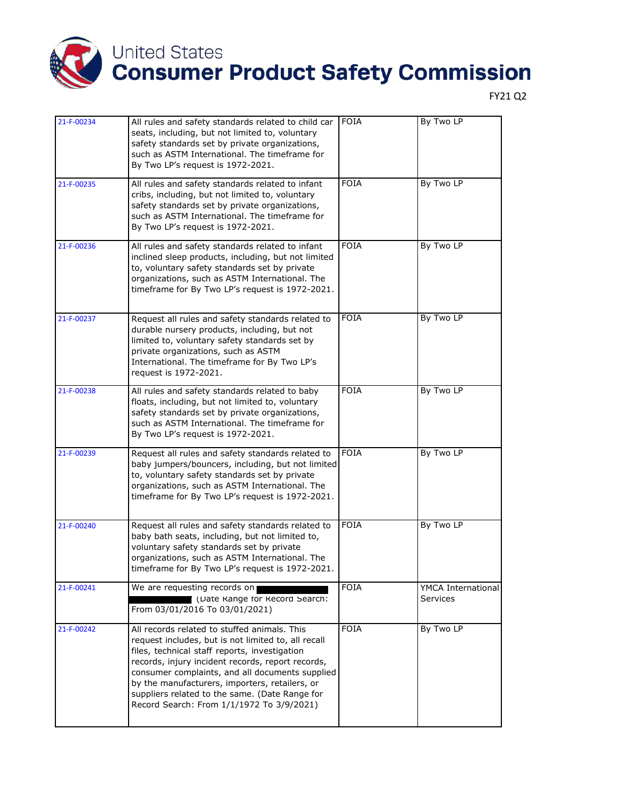

| 21-F-00234 | All rules and safety standards related to child car<br>seats, including, but not limited to, voluntary<br>safety standards set by private organizations,<br>such as ASTM International. The timeframe for<br>By Two LP's request is 1972-2021.                                                                                                                                                                | <b>FOIA</b> | By Two LP                      |
|------------|---------------------------------------------------------------------------------------------------------------------------------------------------------------------------------------------------------------------------------------------------------------------------------------------------------------------------------------------------------------------------------------------------------------|-------------|--------------------------------|
| 21-F-00235 | All rules and safety standards related to infant<br>cribs, including, but not limited to, voluntary<br>safety standards set by private organizations,<br>such as ASTM International. The timeframe for<br>By Two LP's request is 1972-2021.                                                                                                                                                                   | <b>FOIA</b> | By Two LP                      |
| 21-F-00236 | All rules and safety standards related to infant<br>inclined sleep products, including, but not limited<br>to, voluntary safety standards set by private<br>organizations, such as ASTM International. The<br>timeframe for By Two LP's request is 1972-2021.                                                                                                                                                 | <b>FOIA</b> | By Two LP                      |
| 21-F-00237 | Request all rules and safety standards related to<br>durable nursery products, including, but not<br>limited to, voluntary safety standards set by<br>private organizations, such as ASTM<br>International. The timeframe for By Two LP's<br>request is 1972-2021.                                                                                                                                            | <b>FOIA</b> | By Two LP                      |
| 21-F-00238 | All rules and safety standards related to baby<br>floats, including, but not limited to, voluntary<br>safety standards set by private organizations,<br>such as ASTM International. The timeframe for<br>By Two LP's request is 1972-2021.                                                                                                                                                                    | <b>FOIA</b> | By Two LP                      |
| 21-F-00239 | Request all rules and safety standards related to<br>baby jumpers/bouncers, including, but not limited<br>to, voluntary safety standards set by private<br>organizations, such as ASTM International. The<br>timeframe for By Two LP's request is 1972-2021.                                                                                                                                                  | <b>FOIA</b> | By Two LP                      |
| 21-F-00240 | Request all rules and safety standards related to<br>baby bath seats, including, but not limited to,<br>voluntary safety standards set by private<br>organizations, such as ASTM International. The<br>timeframe for By Two LP's request is 1972-2021.                                                                                                                                                        | <b>FOIA</b> | By Two LP                      |
| 21-F-00241 | We are requesting records on<br>(Date Kange for Kecord Search:<br>From 03/01/2016 To 03/01/2021)                                                                                                                                                                                                                                                                                                              | <b>FOIA</b> | YMCA International<br>Services |
| 21-F-00242 | All records related to stuffed animals. This<br>request includes, but is not limited to, all recall<br>files, technical staff reports, investigation<br>records, injury incident records, report records,<br>consumer complaints, and all documents supplied<br>by the manufacturers, importers, retailers, or<br>suppliers related to the same. (Date Range for<br>Record Search: From 1/1/1972 To 3/9/2021) | <b>FOIA</b> | By Two LP                      |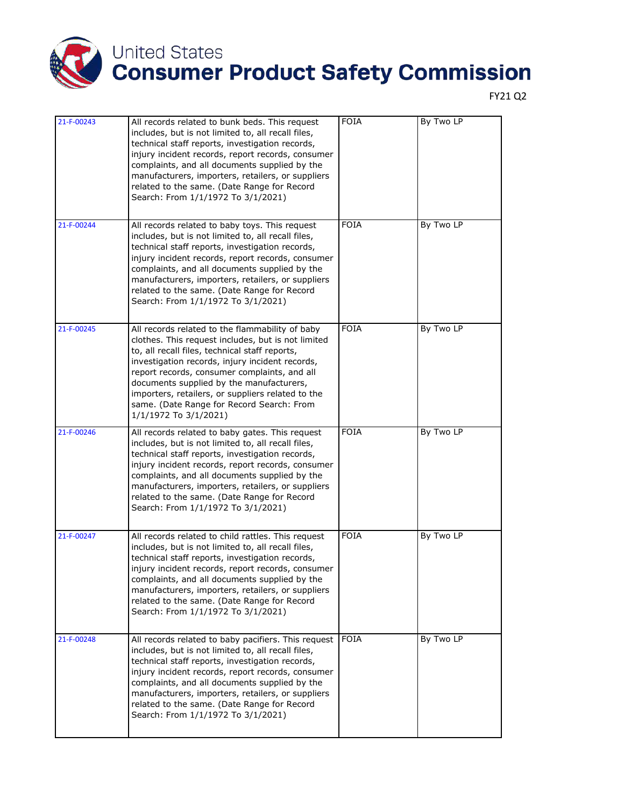

| 21-F-00243 | All records related to bunk beds. This request<br>includes, but is not limited to, all recall files,<br>technical staff reports, investigation records,<br>injury incident records, report records, consumer<br>complaints, and all documents supplied by the<br>manufacturers, importers, retailers, or suppliers<br>related to the same. (Date Range for Record<br>Search: From 1/1/1972 To 3/1/2021)                           | <b>FOIA</b> | By Two LP |
|------------|-----------------------------------------------------------------------------------------------------------------------------------------------------------------------------------------------------------------------------------------------------------------------------------------------------------------------------------------------------------------------------------------------------------------------------------|-------------|-----------|
| 21-F-00244 | All records related to baby toys. This request<br>includes, but is not limited to, all recall files,<br>technical staff reports, investigation records,<br>injury incident records, report records, consumer<br>complaints, and all documents supplied by the<br>manufacturers, importers, retailers, or suppliers<br>related to the same. (Date Range for Record<br>Search: From 1/1/1972 To 3/1/2021)                           | <b>FOIA</b> | By Two LP |
| 21-F-00245 | All records related to the flammability of baby<br>clothes. This request includes, but is not limited<br>to, all recall files, technical staff reports,<br>investigation records, injury incident records,<br>report records, consumer complaints, and all<br>documents supplied by the manufacturers,<br>importers, retailers, or suppliers related to the<br>same. (Date Range for Record Search: From<br>1/1/1972 To 3/1/2021) | <b>FOIA</b> | By Two LP |
| 21-F-00246 | All records related to baby gates. This request<br>includes, but is not limited to, all recall files,<br>technical staff reports, investigation records,<br>injury incident records, report records, consumer<br>complaints, and all documents supplied by the<br>manufacturers, importers, retailers, or suppliers<br>related to the same. (Date Range for Record<br>Search: From 1/1/1972 To 3/1/2021)                          | <b>FOIA</b> | By Two LP |
| 21-F-00247 | All records related to child rattles. This request<br>includes, but is not limited to, all recall files,<br>technical staff reports, investigation records,<br>injury incident records, report records, consumer<br>complaints, and all documents supplied by the<br>manufacturers, importers, retailers, or suppliers<br>related to the same. (Date Range for Record<br>Search: From 1/1/1972 To 3/1/2021)                       | <b>FOIA</b> | By Two LP |
| 21-F-00248 | All records related to baby pacifiers. This request<br>includes, but is not limited to, all recall files,<br>technical staff reports, investigation records,<br>injury incident records, report records, consumer<br>complaints, and all documents supplied by the<br>manufacturers, importers, retailers, or suppliers<br>related to the same. (Date Range for Record<br>Search: From 1/1/1972 To 3/1/2021)                      | <b>FOIA</b> | By Two LP |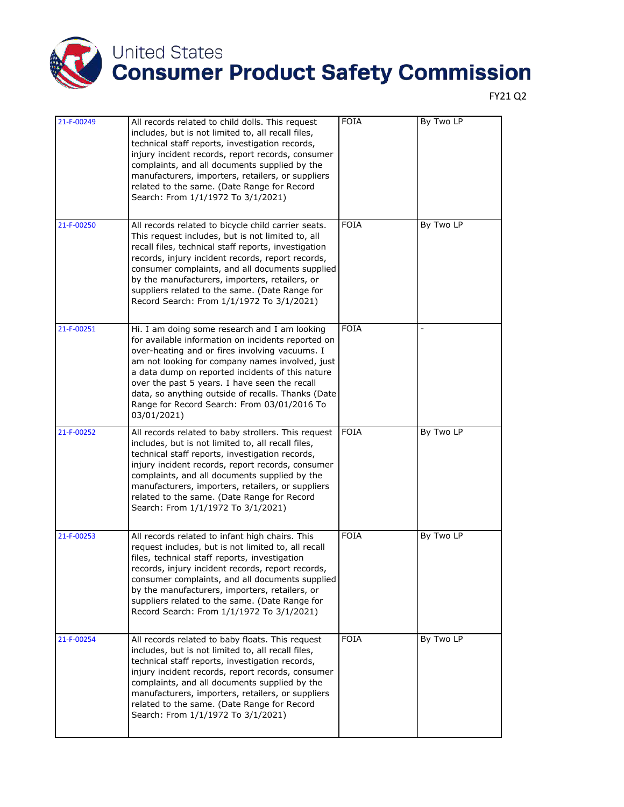

| 21-F-00249 | All records related to child dolls. This request<br>includes, but is not limited to, all recall files,<br>technical staff reports, investigation records,<br>injury incident records, report records, consumer<br>complaints, and all documents supplied by the<br>manufacturers, importers, retailers, or suppliers<br>related to the same. (Date Range for Record<br>Search: From 1/1/1972 To 3/1/2021)                         | <b>FOIA</b> | By Two LP |
|------------|-----------------------------------------------------------------------------------------------------------------------------------------------------------------------------------------------------------------------------------------------------------------------------------------------------------------------------------------------------------------------------------------------------------------------------------|-------------|-----------|
| 21-F-00250 | All records related to bicycle child carrier seats.<br>This request includes, but is not limited to, all<br>recall files, technical staff reports, investigation<br>records, injury incident records, report records,<br>consumer complaints, and all documents supplied<br>by the manufacturers, importers, retailers, or<br>suppliers related to the same. (Date Range for<br>Record Search: From 1/1/1972 To 3/1/2021)         | <b>FOIA</b> | By Two LP |
| 21-F-00251 | Hi. I am doing some research and I am looking<br>for available information on incidents reported on<br>over-heating and or fires involving vacuums. I<br>am not looking for company names involved, just<br>a data dump on reported incidents of this nature<br>over the past 5 years. I have seen the recall<br>data, so anything outside of recalls. Thanks (Date<br>Range for Record Search: From 03/01/2016 To<br>03/01/2021) | <b>FOIA</b> |           |
| 21-F-00252 | All records related to baby strollers. This request<br>includes, but is not limited to, all recall files,<br>technical staff reports, investigation records,<br>injury incident records, report records, consumer<br>complaints, and all documents supplied by the<br>manufacturers, importers, retailers, or suppliers<br>related to the same. (Date Range for Record<br>Search: From 1/1/1972 To 3/1/2021)                      | <b>FOIA</b> | By Two LP |
| 21-F-00253 | All records related to infant high chairs. This<br>request includes, but is not limited to, all recall<br>files, technical staff reports, investigation<br>records, injury incident records, report records,<br>consumer complaints, and all documents supplied<br>by the manufacturers, importers, retailers, or<br>suppliers related to the same. (Date Range for<br>Record Search: From 1/1/1972 To 3/1/2021)                  | <b>FOIA</b> | By Two LP |
| 21-F-00254 | All records related to baby floats. This request<br>includes, but is not limited to, all recall files,<br>technical staff reports, investigation records,<br>injury incident records, report records, consumer<br>complaints, and all documents supplied by the<br>manufacturers, importers, retailers, or suppliers<br>related to the same. (Date Range for Record<br>Search: From 1/1/1972 To 3/1/2021)                         | <b>FOIA</b> | By Two LP |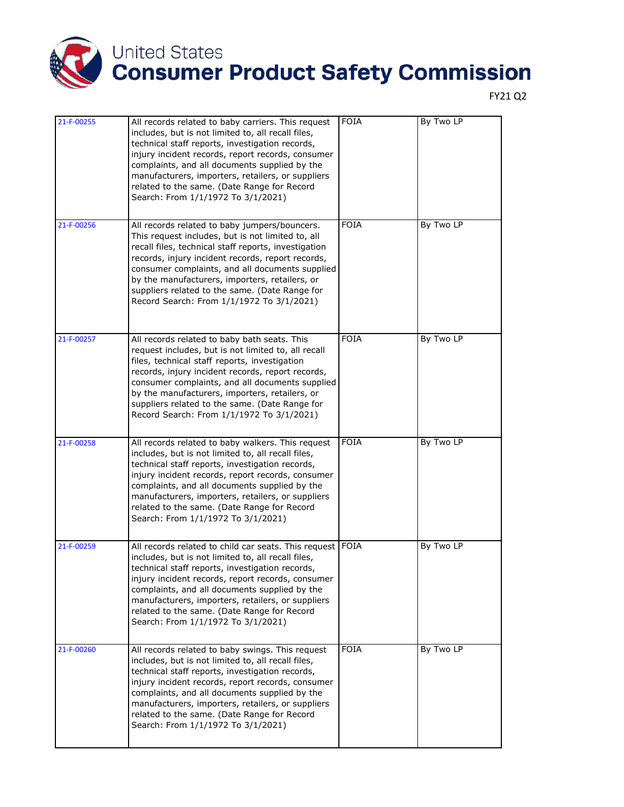

| 21-F-00255 | All records related to baby carriers. This request<br>includes, but is not limited to, all recall files,<br>technical staff reports, investigation records,<br>injury incident records, report records, consumer<br>complaints, and all documents supplied by the<br>manufacturers, importers, retailers, or suppliers<br>related to the same. (Date Range for Record<br>Search: From 1/1/1972 To 3/1/2021)         | <b>FOIA</b> | By Two LP |
|------------|---------------------------------------------------------------------------------------------------------------------------------------------------------------------------------------------------------------------------------------------------------------------------------------------------------------------------------------------------------------------------------------------------------------------|-------------|-----------|
| 21-F-00256 | All records related to baby jumpers/bouncers.<br>This request includes, but is not limited to, all<br>recall files, technical staff reports, investigation<br>records, injury incident records, report records,<br>consumer complaints, and all documents supplied<br>by the manufacturers, importers, retailers, or<br>suppliers related to the same. (Date Range for<br>Record Search: From 1/1/1972 To 3/1/2021) | <b>FOIA</b> | By Two LP |
| 21-F-00257 | All records related to baby bath seats. This<br>request includes, but is not limited to, all recall<br>files, technical staff reports, investigation<br>records, injury incident records, report records,<br>consumer complaints, and all documents supplied<br>by the manufacturers, importers, retailers, or<br>suppliers related to the same. (Date Range for<br>Record Search: From 1/1/1972 To 3/1/2021)       | <b>FOIA</b> | By Two LP |
| 21-F-00258 | All records related to baby walkers. This request<br>includes, but is not limited to, all recall files,<br>technical staff reports, investigation records,<br>injury incident records, report records, consumer<br>complaints, and all documents supplied by the<br>manufacturers, importers, retailers, or suppliers<br>related to the same. (Date Range for Record<br>Search: From 1/1/1972 To 3/1/2021)          | <b>FOIA</b> | By Two LP |
| 21-F-00259 | All records related to child car seats. This request FOIA<br>includes, but is not limited to, all recall files,<br>technical staff reports, investigation records,<br>injury incident records, report records, consumer<br>complaints, and all documents supplied by the<br>manufacturers, importers, retailers, or suppliers<br>related to the same. (Date Range for Record<br>Search: From 1/1/1972 To 3/1/2021)  |             | By Two LP |
| 21-F-00260 | All records related to baby swings. This request<br>includes, but is not limited to, all recall files,<br>technical staff reports, investigation records,<br>injury incident records, report records, consumer<br>complaints, and all documents supplied by the<br>manufacturers, importers, retailers, or suppliers<br>related to the same. (Date Range for Record<br>Search: From 1/1/1972 To 3/1/2021)           | <b>FOIA</b> | By Two LP |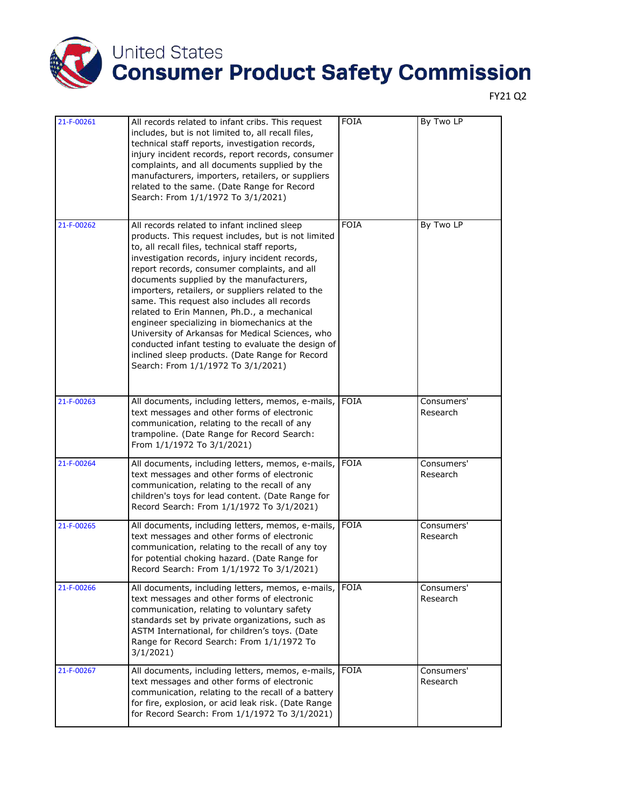

| 21-F-00261 | All records related to infant cribs. This request<br>includes, but is not limited to, all recall files,<br>technical staff reports, investigation records,<br>injury incident records, report records, consumer<br>complaints, and all documents supplied by the<br>manufacturers, importers, retailers, or suppliers<br>related to the same. (Date Range for Record<br>Search: From 1/1/1972 To 3/1/2021)                                                                                                                                                                                                                                                                                                  | <b>FOIA</b> | By Two LP              |
|------------|-------------------------------------------------------------------------------------------------------------------------------------------------------------------------------------------------------------------------------------------------------------------------------------------------------------------------------------------------------------------------------------------------------------------------------------------------------------------------------------------------------------------------------------------------------------------------------------------------------------------------------------------------------------------------------------------------------------|-------------|------------------------|
| 21-F-00262 | All records related to infant inclined sleep<br>products. This request includes, but is not limited<br>to, all recall files, technical staff reports,<br>investigation records, injury incident records,<br>report records, consumer complaints, and all<br>documents supplied by the manufacturers,<br>importers, retailers, or suppliers related to the<br>same. This request also includes all records<br>related to Erin Mannen, Ph.D., a mechanical<br>engineer specializing in biomechanics at the<br>University of Arkansas for Medical Sciences, who<br>conducted infant testing to evaluate the design of<br>inclined sleep products. (Date Range for Record<br>Search: From 1/1/1972 To 3/1/2021) | <b>FOIA</b> | By Two LP              |
| 21-F-00263 | All documents, including letters, memos, e-mails,<br>text messages and other forms of electronic<br>communication, relating to the recall of any<br>trampoline. (Date Range for Record Search:<br>From 1/1/1972 To 3/1/2021)                                                                                                                                                                                                                                                                                                                                                                                                                                                                                | <b>FOIA</b> | Consumers'<br>Research |
| 21-F-00264 | All documents, including letters, memos, e-mails,<br>text messages and other forms of electronic<br>communication, relating to the recall of any<br>children's toys for lead content. (Date Range for<br>Record Search: From 1/1/1972 To 3/1/2021)                                                                                                                                                                                                                                                                                                                                                                                                                                                          | <b>FOIA</b> | Consumers'<br>Research |
| 21-F-00265 | All documents, including letters, memos, e-mails,<br>text messages and other forms of electronic<br>communication, relating to the recall of any toy<br>for potential choking hazard. (Date Range for<br>Record Search: From 1/1/1972 To 3/1/2021)                                                                                                                                                                                                                                                                                                                                                                                                                                                          | <b>FOIA</b> | Consumers'<br>Research |
| 21-F-00266 | All documents, including letters, memos, e-mails,<br>text messages and other forms of electronic<br>communication, relating to voluntary safety<br>standards set by private organizations, such as<br>ASTM International, for children's toys. (Date<br>Range for Record Search: From 1/1/1972 To<br>3/1/2021                                                                                                                                                                                                                                                                                                                                                                                               | <b>FOIA</b> | Consumers'<br>Research |
| 21-F-00267 | All documents, including letters, memos, e-mails,<br>text messages and other forms of electronic<br>communication, relating to the recall of a battery<br>for fire, explosion, or acid leak risk. (Date Range<br>for Record Search: From 1/1/1972 To 3/1/2021)                                                                                                                                                                                                                                                                                                                                                                                                                                              | <b>FOIA</b> | Consumers'<br>Research |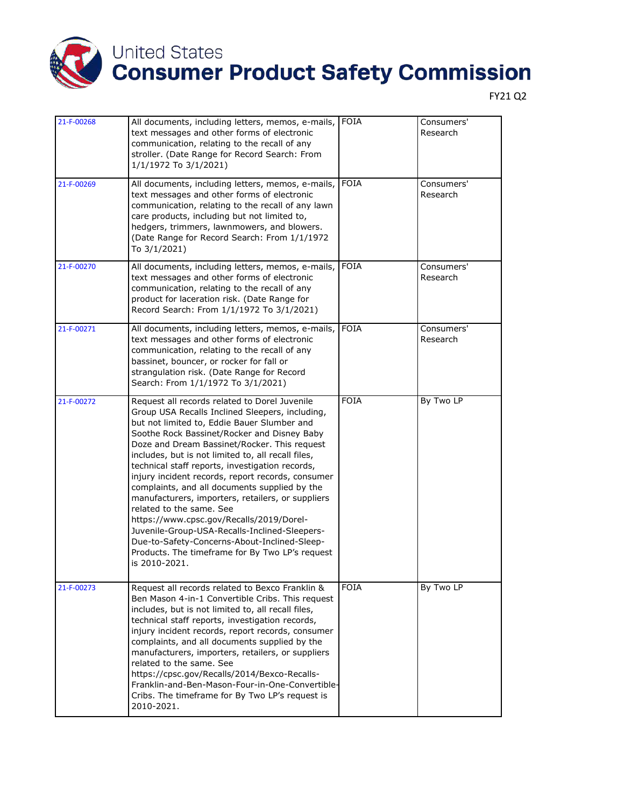

| 21-F-00268 | All documents, including letters, memos, e-mails,<br>text messages and other forms of electronic<br>communication, relating to the recall of any<br>stroller. (Date Range for Record Search: From<br>1/1/1972 To 3/1/2021)                                                                                                                                                                                                                                                                                                                                                                                                                                                                                                                                      | FOIA        | Consumers'<br>Research |
|------------|-----------------------------------------------------------------------------------------------------------------------------------------------------------------------------------------------------------------------------------------------------------------------------------------------------------------------------------------------------------------------------------------------------------------------------------------------------------------------------------------------------------------------------------------------------------------------------------------------------------------------------------------------------------------------------------------------------------------------------------------------------------------|-------------|------------------------|
| 21-F-00269 | All documents, including letters, memos, e-mails,<br>text messages and other forms of electronic<br>communication, relating to the recall of any lawn<br>care products, including but not limited to,<br>hedgers, trimmers, lawnmowers, and blowers.<br>(Date Range for Record Search: From 1/1/1972<br>To 3/1/2021)                                                                                                                                                                                                                                                                                                                                                                                                                                            | <b>FOIA</b> | Consumers'<br>Research |
| 21-F-00270 | All documents, including letters, memos, e-mails,<br>text messages and other forms of electronic<br>communication, relating to the recall of any<br>product for laceration risk. (Date Range for<br>Record Search: From 1/1/1972 To 3/1/2021)                                                                                                                                                                                                                                                                                                                                                                                                                                                                                                                   | <b>FOIA</b> | Consumers'<br>Research |
| 21-F-00271 | All documents, including letters, memos, e-mails,<br>text messages and other forms of electronic<br>communication, relating to the recall of any<br>bassinet, bouncer, or rocker for fall or<br>strangulation risk. (Date Range for Record<br>Search: From 1/1/1972 To 3/1/2021)                                                                                                                                                                                                                                                                                                                                                                                                                                                                                | <b>FOIA</b> | Consumers'<br>Research |
| 21-F-00272 | Request all records related to Dorel Juvenile<br>Group USA Recalls Inclined Sleepers, including,<br>but not limited to, Eddie Bauer Slumber and<br>Soothe Rock Bassinet/Rocker and Disney Baby<br>Doze and Dream Bassinet/Rocker. This request<br>includes, but is not limited to, all recall files,<br>technical staff reports, investigation records,<br>injury incident records, report records, consumer<br>complaints, and all documents supplied by the<br>manufacturers, importers, retailers, or suppliers<br>related to the same. See<br>https://www.cpsc.gov/Recalls/2019/Dorel-<br>Juvenile-Group-USA-Recalls-Inclined-Sleepers-<br>Due-to-Safety-Concerns-About-Inclined-Sleep-<br>Products. The timeframe for By Two LP's request<br>is 2010-2021. | <b>FOIA</b> | By Two LP              |
| 21-F-00273 | Request all records related to Bexco Franklin &<br>Ben Mason 4-in-1 Convertible Cribs. This request<br>includes, but is not limited to, all recall files,<br>technical staff reports, investigation records,<br>injury incident records, report records, consumer<br>complaints, and all documents supplied by the<br>manufacturers, importers, retailers, or suppliers<br>related to the same. See<br>https://cpsc.gov/Recalls/2014/Bexco-Recalls-<br>Franklin-and-Ben-Mason-Four-in-One-Convertible-<br>Cribs. The timeframe for By Two LP's request is<br>2010-2021.                                                                                                                                                                                         | <b>FOIA</b> | By Two LP              |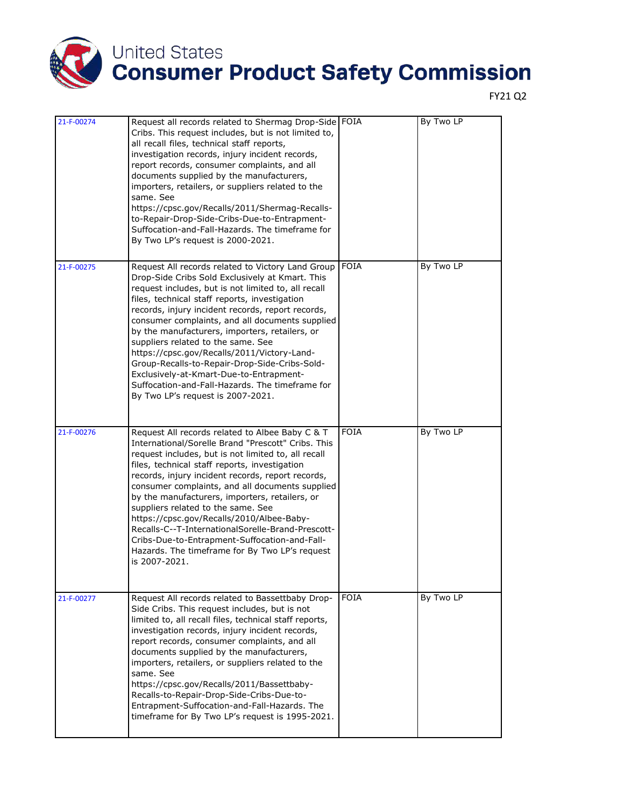

| 21-F-00274 | Request all records related to Shermag Drop-Side FOIA<br>Cribs. This request includes, but is not limited to,<br>all recall files, technical staff reports,<br>investigation records, injury incident records,<br>report records, consumer complaints, and all<br>documents supplied by the manufacturers,<br>importers, retailers, or suppliers related to the<br>same. See<br>https://cpsc.gov/Recalls/2011/Shermag-Recalls-<br>to-Repair-Drop-Side-Cribs-Due-to-Entrapment-<br>Suffocation-and-Fall-Hazards. The timeframe for<br>By Two LP's request is 2000-2021.                                                                          |             | By Two LP |
|------------|-------------------------------------------------------------------------------------------------------------------------------------------------------------------------------------------------------------------------------------------------------------------------------------------------------------------------------------------------------------------------------------------------------------------------------------------------------------------------------------------------------------------------------------------------------------------------------------------------------------------------------------------------|-------------|-----------|
| 21-F-00275 | Request All records related to Victory Land Group<br>Drop-Side Cribs Sold Exclusively at Kmart. This<br>request includes, but is not limited to, all recall<br>files, technical staff reports, investigation<br>records, injury incident records, report records,<br>consumer complaints, and all documents supplied<br>by the manufacturers, importers, retailers, or<br>suppliers related to the same. See<br>https://cpsc.gov/Recalls/2011/Victory-Land-<br>Group-Recalls-to-Repair-Drop-Side-Cribs-Sold-<br>Exclusively-at-Kmart-Due-to-Entrapment-<br>Suffocation-and-Fall-Hazards. The timeframe for<br>By Two LP's request is 2007-2021. | <b>FOIA</b> | By Two LP |
| 21-F-00276 | Request All records related to Albee Baby C & T<br>International/Sorelle Brand "Prescott" Cribs. This<br>request includes, but is not limited to, all recall<br>files, technical staff reports, investigation<br>records, injury incident records, report records,<br>consumer complaints, and all documents supplied<br>by the manufacturers, importers, retailers, or<br>suppliers related to the same. See<br>https://cpsc.gov/Recalls/2010/Albee-Baby-<br>Recalls-C--T-InternationalSorelle-Brand-Prescott-<br>Cribs-Due-to-Entrapment-Suffocation-and-Fall-<br>Hazards. The timeframe for By Two LP's request<br>is 2007-2021.             | <b>FOIA</b> | By Two LP |
| 21-F-00277 | Request All records related to Bassettbaby Drop-<br>Side Cribs. This request includes, but is not<br>limited to, all recall files, technical staff reports,<br>investigation records, injury incident records,<br>report records, consumer complaints, and all<br>documents supplied by the manufacturers,<br>importers, retailers, or suppliers related to the<br>same. See<br>https://cpsc.gov/Recalls/2011/Bassettbaby-<br>Recalls-to-Repair-Drop-Side-Cribs-Due-to-<br>Entrapment-Suffocation-and-Fall-Hazards. The<br>timeframe for By Two LP's request is 1995-2021.                                                                      | <b>FOIA</b> | By Two LP |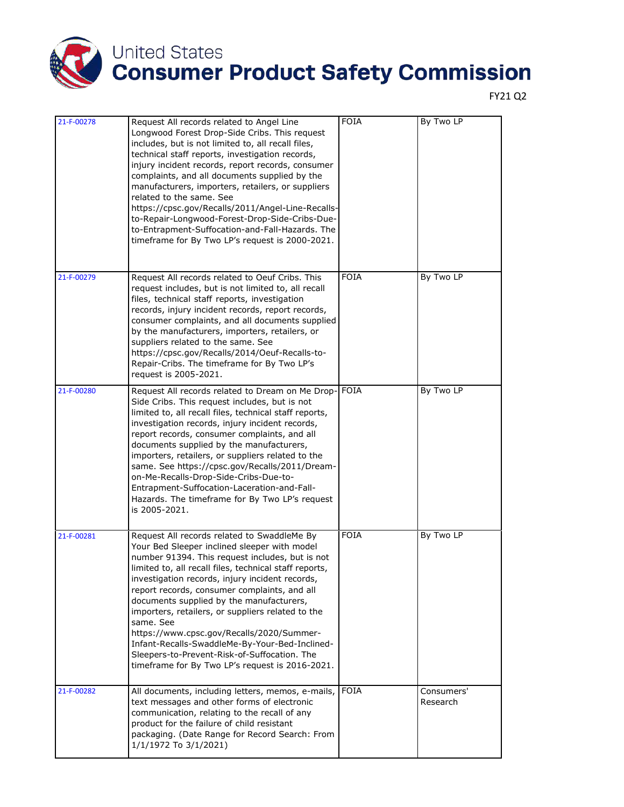

| $21 - F - 00278$ | Request All records related to Angel Line<br>Longwood Forest Drop-Side Cribs. This request<br>includes, but is not limited to, all recall files,<br>technical staff reports, investigation records,<br>injury incident records, report records, consumer<br>complaints, and all documents supplied by the<br>manufacturers, importers, retailers, or suppliers<br>related to the same. See<br>https://cpsc.gov/Recalls/2011/Angel-Line-Recalls-<br>to-Repair-Longwood-Forest-Drop-Side-Cribs-Due-<br>to-Entrapment-Suffocation-and-Fall-Hazards. The<br>timeframe for By Two LP's request is 2000-2021.                     | <b>FOIA</b> | By Two LP              |
|------------------|-----------------------------------------------------------------------------------------------------------------------------------------------------------------------------------------------------------------------------------------------------------------------------------------------------------------------------------------------------------------------------------------------------------------------------------------------------------------------------------------------------------------------------------------------------------------------------------------------------------------------------|-------------|------------------------|
| 21-F-00279       | Request All records related to Oeuf Cribs. This<br>request includes, but is not limited to, all recall<br>files, technical staff reports, investigation<br>records, injury incident records, report records,<br>consumer complaints, and all documents supplied<br>by the manufacturers, importers, retailers, or<br>suppliers related to the same. See<br>https://cpsc.gov/Recalls/2014/Oeuf-Recalls-to-<br>Repair-Cribs. The timeframe for By Two LP's<br>request is 2005-2021.                                                                                                                                           | <b>FOIA</b> | By Two LP              |
| 21-F-00280       | Request All records related to Dream on Me Drop-<br>Side Cribs. This request includes, but is not<br>limited to, all recall files, technical staff reports,<br>investigation records, injury incident records,<br>report records, consumer complaints, and all<br>documents supplied by the manufacturers,<br>importers, retailers, or suppliers related to the<br>same. See https://cpsc.gov/Recalls/2011/Dream-<br>on-Me-Recalls-Drop-Side-Cribs-Due-to-<br>Entrapment-Suffocation-Laceration-and-Fall-<br>Hazards. The timeframe for By Two LP's request<br>is 2005-2021.                                                | <b>FOIA</b> | By Two LP              |
| 21-F-00281       | Request All records related to SwaddleMe By<br>Your Bed Sleeper inclined sleeper with model<br>number 91394. This request includes, but is not<br>limited to, all recall files, technical staff reports,<br>investigation records, injury incident records,<br>report records, consumer complaints, and all<br>documents supplied by the manufacturers,<br>importers, retailers, or suppliers related to the<br>same. See<br>https://www.cpsc.gov/Recalls/2020/Summer-<br>Infant-Recalls-SwaddleMe-By-Your-Bed-Inclined-<br>Sleepers-to-Prevent-Risk-of-Suffocation. The<br>timeframe for By Two LP's request is 2016-2021. | <b>FOIA</b> | By Two LP              |
| 21-F-00282       | All documents, including letters, memos, e-mails,<br>text messages and other forms of electronic<br>communication, relating to the recall of any<br>product for the failure of child resistant<br>packaging. (Date Range for Record Search: From<br>1/1/1972 To 3/1/2021)                                                                                                                                                                                                                                                                                                                                                   | <b>FOIA</b> | Consumers'<br>Research |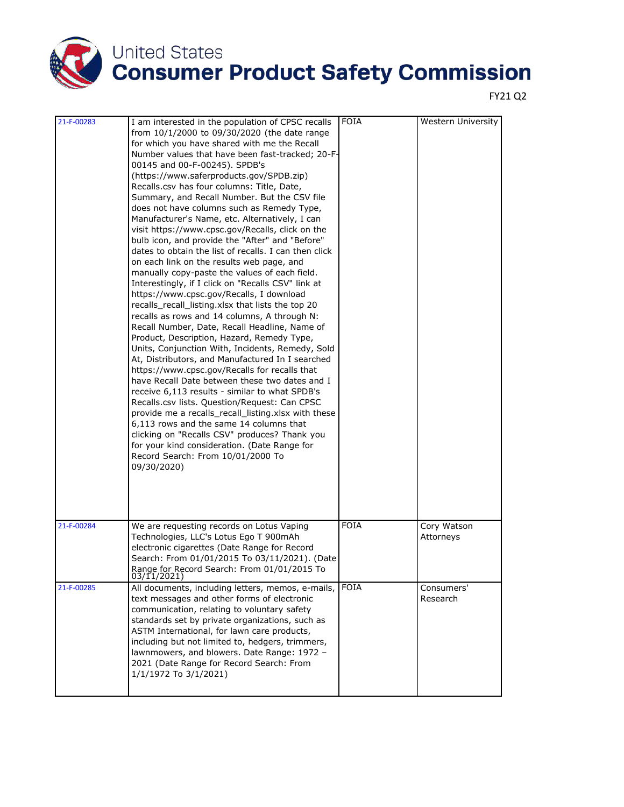

| 21-F-00283 | I am interested in the population of CPSC recalls                                                                                                                                                                                                                                                                                                                                                                                                                                                                                                                                                                                                                                                                                                                                                                                                                                                                                                                                                                                                                                                                                                                                                                                                                                                                                                                                                                                                                                                                                                                    | <b>FOIA</b> | Western University       |
|------------|----------------------------------------------------------------------------------------------------------------------------------------------------------------------------------------------------------------------------------------------------------------------------------------------------------------------------------------------------------------------------------------------------------------------------------------------------------------------------------------------------------------------------------------------------------------------------------------------------------------------------------------------------------------------------------------------------------------------------------------------------------------------------------------------------------------------------------------------------------------------------------------------------------------------------------------------------------------------------------------------------------------------------------------------------------------------------------------------------------------------------------------------------------------------------------------------------------------------------------------------------------------------------------------------------------------------------------------------------------------------------------------------------------------------------------------------------------------------------------------------------------------------------------------------------------------------|-------------|--------------------------|
|            | from 10/1/2000 to 09/30/2020 (the date range<br>for which you have shared with me the Recall<br>Number values that have been fast-tracked; 20-F-<br>00145 and 00-F-00245). SPDB's<br>(https://www.saferproducts.gov/SPDB.zip)<br>Recalls.csv has four columns: Title, Date,<br>Summary, and Recall Number. But the CSV file<br>does not have columns such as Remedy Type,<br>Manufacturer's Name, etc. Alternatively, I can<br>visit https://www.cpsc.gov/Recalls, click on the<br>bulb icon, and provide the "After" and "Before"<br>dates to obtain the list of recalls. I can then click<br>on each link on the results web page, and<br>manually copy-paste the values of each field.<br>Interestingly, if I click on "Recalls CSV" link at<br>https://www.cpsc.gov/Recalls, I download<br>recalls_recall_listing.xlsx that lists the top 20<br>recalls as rows and 14 columns, A through N:<br>Recall Number, Date, Recall Headline, Name of<br>Product, Description, Hazard, Remedy Type,<br>Units, Conjunction With, Incidents, Remedy, Sold<br>At, Distributors, and Manufactured In I searched<br>https://www.cpsc.gov/Recalls for recalls that<br>have Recall Date between these two dates and I<br>receive 6,113 results - similar to what SPDB's<br>Recalls.csv lists. Question/Request: Can CPSC<br>provide me a recalls_recall_listing.xlsx with these<br>6,113 rows and the same 14 columns that<br>clicking on "Recalls CSV" produces? Thank you<br>for your kind consideration. (Date Range for<br>Record Search: From 10/01/2000 To<br>09/30/2020) |             |                          |
| 21-F-00284 | We are requesting records on Lotus Vaping<br>Technologies, LLC's Lotus Ego T 900mAh<br>electronic cigarettes (Date Range for Record<br>Search: From 01/01/2015 To 03/11/2021). (Date<br>Range for Record Search: From 01/01/2015 To<br>03/11/2021)                                                                                                                                                                                                                                                                                                                                                                                                                                                                                                                                                                                                                                                                                                                                                                                                                                                                                                                                                                                                                                                                                                                                                                                                                                                                                                                   | FOIA        | Cory Watson<br>Attorneys |
| 21-F-00285 | All documents, including letters, memos, e-mails,<br>text messages and other forms of electronic<br>communication, relating to voluntary safety<br>standards set by private organizations, such as<br>ASTM International, for lawn care products,<br>including but not limited to, hedgers, trimmers,<br>lawnmowers, and blowers. Date Range: 1972 -<br>2021 (Date Range for Record Search: From<br>1/1/1972 To 3/1/2021)                                                                                                                                                                                                                                                                                                                                                                                                                                                                                                                                                                                                                                                                                                                                                                                                                                                                                                                                                                                                                                                                                                                                            | <b>FOIA</b> | Consumers'<br>Research   |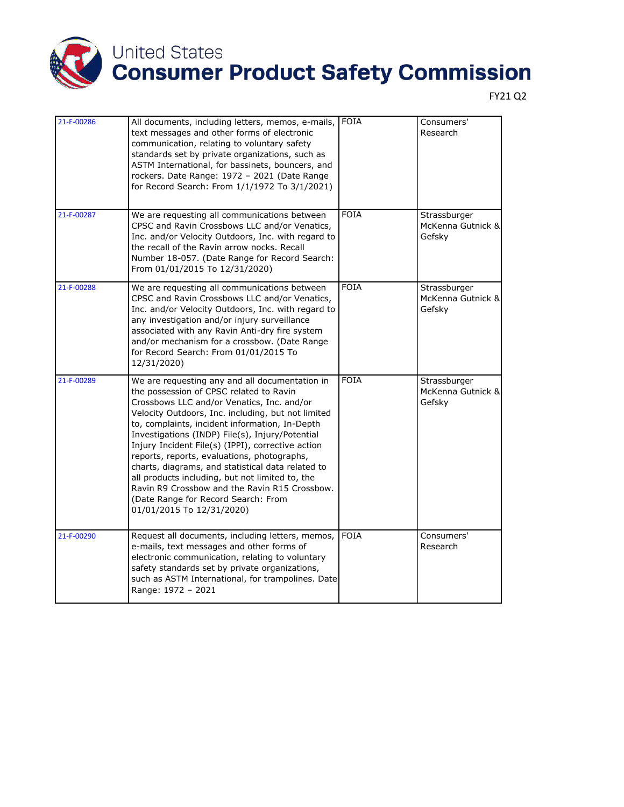

| 21-F-00286 | All documents, including letters, memos, e-mails,<br>text messages and other forms of electronic<br>communication, relating to voluntary safety<br>standards set by private organizations, such as<br>ASTM International, for bassinets, bouncers, and<br>rockers. Date Range: 1972 - 2021 (Date Range<br>for Record Search: From 1/1/1972 To 3/1/2021)                                                                                                                                                                                                                                                                             | <b>FOIA</b> | Consumers'<br>Research                      |
|------------|-------------------------------------------------------------------------------------------------------------------------------------------------------------------------------------------------------------------------------------------------------------------------------------------------------------------------------------------------------------------------------------------------------------------------------------------------------------------------------------------------------------------------------------------------------------------------------------------------------------------------------------|-------------|---------------------------------------------|
| 21-F-00287 | We are requesting all communications between<br>CPSC and Ravin Crossbows LLC and/or Venatics,<br>Inc. and/or Velocity Outdoors, Inc. with regard to<br>the recall of the Ravin arrow nocks. Recall<br>Number 18-057. (Date Range for Record Search:<br>From 01/01/2015 To 12/31/2020)                                                                                                                                                                                                                                                                                                                                               | <b>FOIA</b> | Strassburger<br>McKenna Gutnick &<br>Gefsky |
| 21-F-00288 | We are requesting all communications between<br>CPSC and Ravin Crossbows LLC and/or Venatics,<br>Inc. and/or Velocity Outdoors, Inc. with regard to<br>any investigation and/or injury surveillance<br>associated with any Ravin Anti-dry fire system<br>and/or mechanism for a crossbow. (Date Range<br>for Record Search: From 01/01/2015 To<br>12/31/2020)                                                                                                                                                                                                                                                                       | <b>FOIA</b> | Strassburger<br>McKenna Gutnick &<br>Gefsky |
| 21-F-00289 | We are requesting any and all documentation in<br>the possession of CPSC related to Ravin<br>Crossbows LLC and/or Venatics, Inc. and/or<br>Velocity Outdoors, Inc. including, but not limited<br>to, complaints, incident information, In-Depth<br>Investigations (INDP) File(s), Injury/Potential<br>Injury Incident File(s) (IPPI), corrective action<br>reports, reports, evaluations, photographs,<br>charts, diagrams, and statistical data related to<br>all products including, but not limited to, the<br>Ravin R9 Crossbow and the Ravin R15 Crossbow.<br>(Date Range for Record Search: From<br>01/01/2015 To 12/31/2020) | <b>FOIA</b> | Strassburger<br>McKenna Gutnick &<br>Gefsky |
| 21-F-00290 | Request all documents, including letters, memos,<br>e-mails, text messages and other forms of<br>electronic communication, relating to voluntary<br>safety standards set by private organizations,<br>such as ASTM International, for trampolines. Date<br>Range: 1972 - 2021                                                                                                                                                                                                                                                                                                                                                       | <b>FOIA</b> | Consumers'<br>Research                      |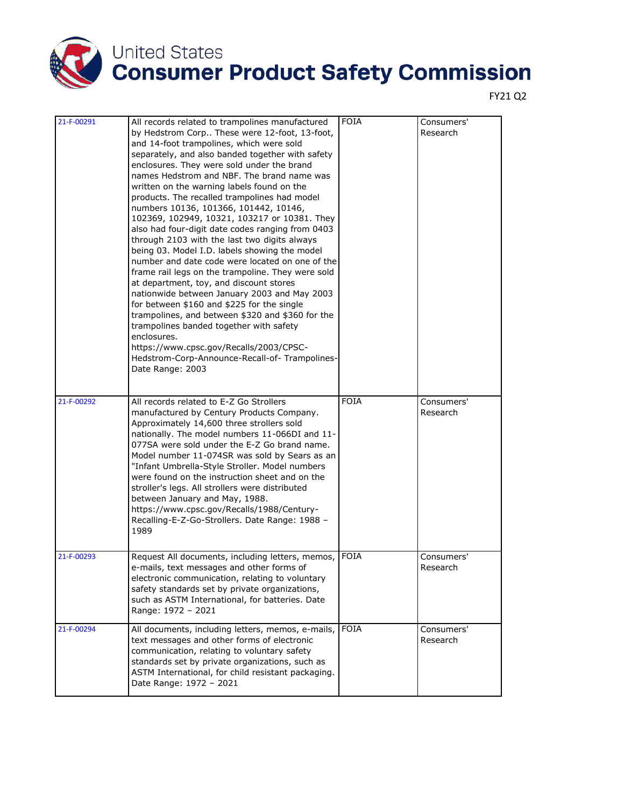

| 21-F-00291 |                                                                                                                                                                                                                                                                                                                                                                                                                                                                                                                                                                                                                                                                                                                                                                                                                                                                                                                                                                                                                                                                                                                         | <b>FOIA</b> | Consumers'             |
|------------|-------------------------------------------------------------------------------------------------------------------------------------------------------------------------------------------------------------------------------------------------------------------------------------------------------------------------------------------------------------------------------------------------------------------------------------------------------------------------------------------------------------------------------------------------------------------------------------------------------------------------------------------------------------------------------------------------------------------------------------------------------------------------------------------------------------------------------------------------------------------------------------------------------------------------------------------------------------------------------------------------------------------------------------------------------------------------------------------------------------------------|-------------|------------------------|
|            | All records related to trampolines manufactured<br>by Hedstrom Corp These were 12-foot, 13-foot,<br>and 14-foot trampolines, which were sold<br>separately, and also banded together with safety<br>enclosures. They were sold under the brand<br>names Hedstrom and NBF. The brand name was<br>written on the warning labels found on the<br>products. The recalled trampolines had model<br>numbers 10136, 101366, 101442, 10146,<br>102369, 102949, 10321, 103217 or 10381. They<br>also had four-digit date codes ranging from 0403<br>through 2103 with the last two digits always<br>being 03. Model I.D. labels showing the model<br>number and date code were located on one of the<br>frame rail legs on the trampoline. They were sold<br>at department, toy, and discount stores<br>nationwide between January 2003 and May 2003<br>for between \$160 and \$225 for the single<br>trampolines, and between \$320 and \$360 for the<br>trampolines banded together with safety<br>enclosures.<br>https://www.cpsc.gov/Recalls/2003/CPSC-<br>Hedstrom-Corp-Announce-Recall-of-Trampolines-<br>Date Range: 2003 |             | Research               |
| 21-F-00292 | All records related to E-Z Go Strollers<br>manufactured by Century Products Company.<br>Approximately 14,600 three strollers sold<br>nationally. The model numbers 11-066DI and 11-<br>077SA were sold under the E-Z Go brand name.<br>Model number 11-074SR was sold by Sears as an<br>"Infant Umbrella-Style Stroller. Model numbers<br>were found on the instruction sheet and on the<br>stroller's legs. All strollers were distributed<br>between January and May, 1988.<br>https://www.cpsc.gov/Recalls/1988/Century-<br>Recalling-E-Z-Go-Strollers. Date Range: 1988 -<br>1989                                                                                                                                                                                                                                                                                                                                                                                                                                                                                                                                   | <b>FOIA</b> | Consumers'<br>Research |
| 21-F-00293 | Request All documents, including letters, memos,<br>e-mails, text messages and other forms of<br>electronic communication, relating to voluntary<br>safety standards set by private organizations,<br>such as ASTM International, for batteries. Date<br>Range: 1972 - 2021                                                                                                                                                                                                                                                                                                                                                                                                                                                                                                                                                                                                                                                                                                                                                                                                                                             | <b>FOIA</b> | Consumers'<br>Research |
| 21-F-00294 | All documents, including letters, memos, e-mails,<br>text messages and other forms of electronic<br>communication, relating to voluntary safety<br>standards set by private organizations, such as<br>ASTM International, for child resistant packaging.<br>Date Range: 1972 - 2021                                                                                                                                                                                                                                                                                                                                                                                                                                                                                                                                                                                                                                                                                                                                                                                                                                     | <b>FOIA</b> | Consumers'<br>Research |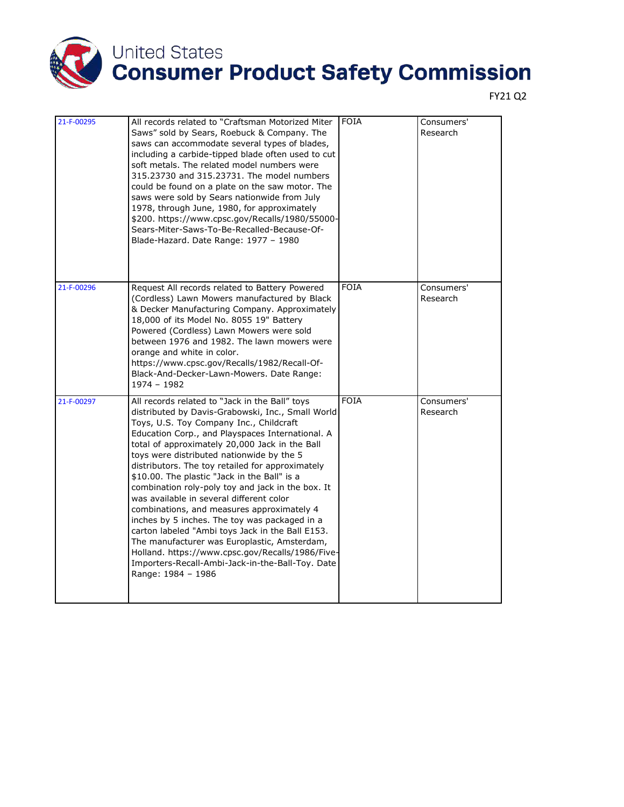

| 21-F-00295 | All records related to "Craftsman Motorized Miter<br>Saws" sold by Sears, Roebuck & Company. The<br>saws can accommodate several types of blades,<br>including a carbide-tipped blade often used to cut<br>soft metals. The related model numbers were<br>315.23730 and 315.23731. The model numbers<br>could be found on a plate on the saw motor. The<br>saws were sold by Sears nationwide from July<br>1978, through June, 1980, for approximately<br>\$200. https://www.cpsc.gov/Recalls/1980/55000-<br>Sears-Miter-Saws-To-Be-Recalled-Because-Of-<br>Blade-Hazard. Date Range: 1977 - 1980                                                                                                                                                                                                                                       | <b>FOIA</b> | Consumers'<br>Research |
|------------|-----------------------------------------------------------------------------------------------------------------------------------------------------------------------------------------------------------------------------------------------------------------------------------------------------------------------------------------------------------------------------------------------------------------------------------------------------------------------------------------------------------------------------------------------------------------------------------------------------------------------------------------------------------------------------------------------------------------------------------------------------------------------------------------------------------------------------------------|-------------|------------------------|
| 21-F-00296 | Request All records related to Battery Powered<br>(Cordless) Lawn Mowers manufactured by Black<br>& Decker Manufacturing Company. Approximately<br>18,000 of its Model No. 8055 19" Battery<br>Powered (Cordless) Lawn Mowers were sold<br>between 1976 and 1982. The lawn mowers were<br>orange and white in color.<br>https://www.cpsc.gov/Recalls/1982/Recall-Of-<br>Black-And-Decker-Lawn-Mowers. Date Range:<br>1974 - 1982                                                                                                                                                                                                                                                                                                                                                                                                        | <b>FOIA</b> | Consumers'<br>Research |
| 21-F-00297 | All records related to "Jack in the Ball" toys<br>distributed by Davis-Grabowski, Inc., Small World<br>Toys, U.S. Toy Company Inc., Childcraft<br>Education Corp., and Playspaces International. A<br>total of approximately 20,000 Jack in the Ball<br>toys were distributed nationwide by the 5<br>distributors. The toy retailed for approximately<br>\$10.00. The plastic "Jack in the Ball" is a<br>combination roly-poly toy and jack in the box. It<br>was available in several different color<br>combinations, and measures approximately 4<br>inches by 5 inches. The toy was packaged in a<br>carton labeled "Ambi toys Jack in the Ball E153.<br>The manufacturer was Europlastic, Amsterdam,<br>Holland. https://www.cpsc.gov/Recalls/1986/Five-<br>Importers-Recall-Ambi-Jack-in-the-Ball-Toy. Date<br>Range: 1984 - 1986 | <b>FOIA</b> | Consumers'<br>Research |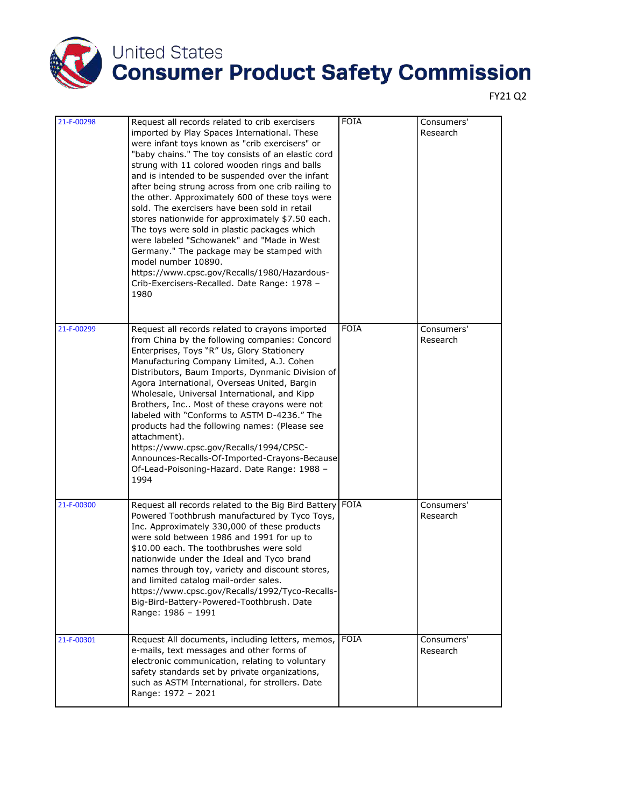

| 21-F-00298 | Request all records related to crib exercisers<br>imported by Play Spaces International. These<br>were infant toys known as "crib exercisers" or<br>"baby chains." The toy consists of an elastic cord<br>strung with 11 colored wooden rings and balls<br>and is intended to be suspended over the infant<br>after being strung across from one crib railing to<br>the other. Approximately 600 of these toys were<br>sold. The exercisers have been sold in retail<br>stores nationwide for approximately \$7.50 each.<br>The toys were sold in plastic packages which<br>were labeled "Schowanek" and "Made in West<br>Germany." The package may be stamped with<br>model number 10890.<br>https://www.cpsc.gov/Recalls/1980/Hazardous-<br>Crib-Exercisers-Recalled. Date Range: 1978 -<br>1980 | <b>FOIA</b> | Consumers'<br>Research |
|------------|----------------------------------------------------------------------------------------------------------------------------------------------------------------------------------------------------------------------------------------------------------------------------------------------------------------------------------------------------------------------------------------------------------------------------------------------------------------------------------------------------------------------------------------------------------------------------------------------------------------------------------------------------------------------------------------------------------------------------------------------------------------------------------------------------|-------------|------------------------|
| 21-F-00299 | Request all records related to crayons imported<br>from China by the following companies: Concord<br>Enterprises, Toys "R" Us, Glory Stationery<br>Manufacturing Company Limited, A.J. Cohen<br>Distributors, Baum Imports, Dynmanic Division of<br>Agora International, Overseas United, Bargin<br>Wholesale, Universal International, and Kipp<br>Brothers, Inc Most of these crayons were not<br>labeled with "Conforms to ASTM D-4236." The<br>products had the following names: (Please see<br>attachment).<br>https://www.cpsc.gov/Recalls/1994/CPSC-<br>Announces-Recalls-Of-Imported-Crayons-Because<br>Of-Lead-Poisoning-Hazard. Date Range: 1988 -<br>1994                                                                                                                               | <b>FOIA</b> | Consumers'<br>Research |
| 21-F-00300 | Request all records related to the Big Bird Battery<br>Powered Toothbrush manufactured by Tyco Toys,<br>Inc. Approximately 330,000 of these products<br>were sold between 1986 and 1991 for up to<br>\$10.00 each. The toothbrushes were sold<br>nationwide under the Ideal and Tyco brand<br>names through toy, variety and discount stores,<br>and limited catalog mail-order sales.<br>https://www.cpsc.gov/Recalls/1992/Tyco-Recalls-<br>Big-Bird-Battery-Powered-Toothbrush. Date<br>Range: 1986 - 1991                                                                                                                                                                                                                                                                                       | FOIA        | Consumers'<br>Research |
| 21-F-00301 | Request All documents, including letters, memos,<br>e-mails, text messages and other forms of<br>electronic communication, relating to voluntary<br>safety standards set by private organizations,<br>such as ASTM International, for strollers. Date<br>Range: 1972 - 2021                                                                                                                                                                                                                                                                                                                                                                                                                                                                                                                        | <b>FOIA</b> | Consumers'<br>Research |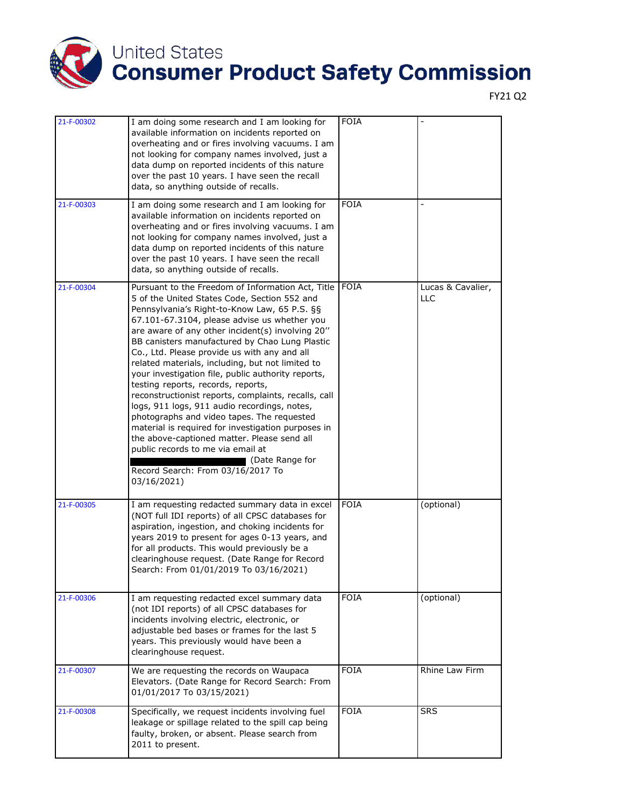

| 21-F-00302 | I am doing some research and I am looking for<br>available information on incidents reported on<br>overheating and or fires involving vacuums. I am<br>not looking for company names involved, just a<br>data dump on reported incidents of this nature<br>over the past 10 years. I have seen the recall<br>data, so anything outside of recalls.                                                                                                                                                                                                                                                                                                                                                                                                                                                                                                                               | <b>FOIA</b> |                                 |
|------------|----------------------------------------------------------------------------------------------------------------------------------------------------------------------------------------------------------------------------------------------------------------------------------------------------------------------------------------------------------------------------------------------------------------------------------------------------------------------------------------------------------------------------------------------------------------------------------------------------------------------------------------------------------------------------------------------------------------------------------------------------------------------------------------------------------------------------------------------------------------------------------|-------------|---------------------------------|
| 21-F-00303 | I am doing some research and I am looking for<br>available information on incidents reported on<br>overheating and or fires involving vacuums. I am<br>not looking for company names involved, just a<br>data dump on reported incidents of this nature<br>over the past 10 years. I have seen the recall<br>data, so anything outside of recalls.                                                                                                                                                                                                                                                                                                                                                                                                                                                                                                                               | <b>FOIA</b> |                                 |
| 21-F-00304 | Pursuant to the Freedom of Information Act, Title<br>5 of the United States Code, Section 552 and<br>Pennsylvania's Right-to-Know Law, 65 P.S. §§<br>67.101-67.3104, please advise us whether you<br>are aware of any other incident(s) involving 20"<br>BB canisters manufactured by Chao Lung Plastic<br>Co., Ltd. Please provide us with any and all<br>related materials, including, but not limited to<br>your investigation file, public authority reports,<br>testing reports, records, reports,<br>reconstructionist reports, complaints, recalls, call<br>logs, 911 logs, 911 audio recordings, notes,<br>photographs and video tapes. The requested<br>material is required for investigation purposes in<br>the above-captioned matter. Please send all<br>public records to me via email at<br>■ (Date Range for<br>Record Search: From 03/16/2017 To<br>03/16/2021) | <b>FOIA</b> | Lucas & Cavalier,<br><b>LLC</b> |
| 21-F-00305 | I am requesting redacted summary data in excel<br>(NOT full IDI reports) of all CPSC databases for<br>aspiration, ingestion, and choking incidents for<br>years 2019 to present for ages 0-13 years, and<br>for all products. This would previously be a<br>clearinghouse request. (Date Range for Record<br>Search: From 01/01/2019 To 03/16/2021)                                                                                                                                                                                                                                                                                                                                                                                                                                                                                                                              | FOIA        | (optional)                      |
| 21-F-00306 | I am requesting redacted excel summary data<br>(not IDI reports) of all CPSC databases for<br>incidents involving electric, electronic, or<br>adjustable bed bases or frames for the last 5<br>years. This previously would have been a<br>clearinghouse request.                                                                                                                                                                                                                                                                                                                                                                                                                                                                                                                                                                                                                | <b>FOIA</b> | (optional)                      |
| 21-F-00307 | We are requesting the records on Waupaca<br>Elevators. (Date Range for Record Search: From<br>01/01/2017 To 03/15/2021)                                                                                                                                                                                                                                                                                                                                                                                                                                                                                                                                                                                                                                                                                                                                                          | <b>FOIA</b> | Rhine Law Firm                  |
| 21-F-00308 | Specifically, we request incidents involving fuel<br>leakage or spillage related to the spill cap being<br>faulty, broken, or absent. Please search from<br>2011 to present.                                                                                                                                                                                                                                                                                                                                                                                                                                                                                                                                                                                                                                                                                                     | <b>FOIA</b> | <b>SRS</b>                      |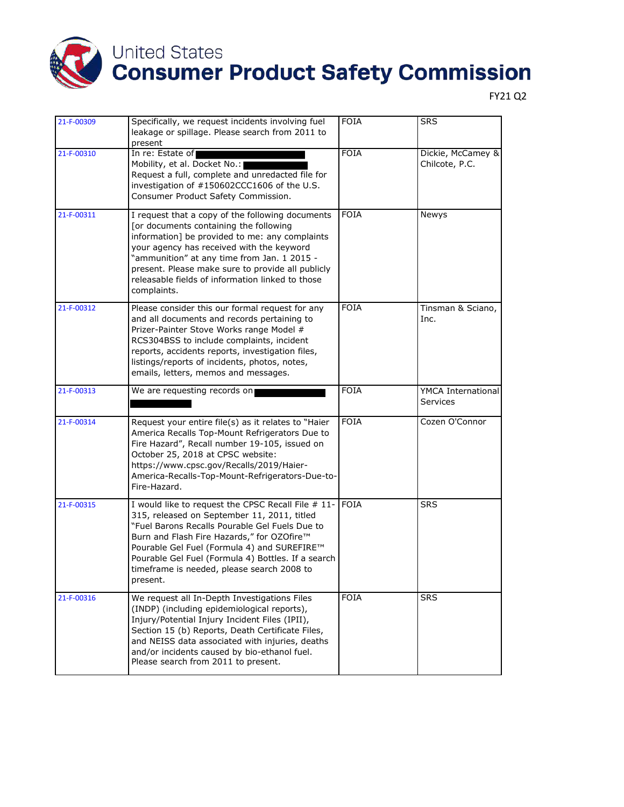

| 21-F-00309 | Specifically, we request incidents involving fuel<br>leakage or spillage. Please search from 2011 to<br>present                                                                                                                                                                                                                                                  | <b>FOIA</b> | <b>SRS</b>                            |
|------------|------------------------------------------------------------------------------------------------------------------------------------------------------------------------------------------------------------------------------------------------------------------------------------------------------------------------------------------------------------------|-------------|---------------------------------------|
| 21-F-00310 | In re: Estate of<br>Mobility, et al. Docket No.:<br>Request a full, complete and unredacted file for<br>investigation of #150602CCC1606 of the U.S.<br>Consumer Product Safety Commission.                                                                                                                                                                       | <b>FOIA</b> | Dickie, McCamey &<br>Chilcote, P.C.   |
| 21-F-00311 | I request that a copy of the following documents<br>[or documents containing the following<br>information] be provided to me: any complaints<br>your agency has received with the keyword<br>"ammunition" at any time from Jan. 1 2015 -<br>present. Please make sure to provide all publicly<br>releasable fields of information linked to those<br>complaints. | <b>FOIA</b> | Newys                                 |
| 21-F-00312 | Please consider this our formal request for any<br>and all documents and records pertaining to<br>Prizer-Painter Stove Works range Model #<br>RCS304BSS to include complaints, incident<br>reports, accidents reports, investigation files,<br>listings/reports of incidents, photos, notes,<br>emails, letters, memos and messages.                             | <b>FOIA</b> | Tinsman & Sciano,<br>Inc.             |
| 21-F-00313 | We are requesting records on                                                                                                                                                                                                                                                                                                                                     | <b>FOIA</b> | YMCA International<br><b>Services</b> |
| 21-F-00314 | Request your entire file(s) as it relates to "Haier<br>America Recalls Top-Mount Refrigerators Due to<br>Fire Hazard", Recall number 19-105, issued on<br>October 25, 2018 at CPSC website:<br>https://www.cpsc.gov/Recalls/2019/Haier-<br>America-Recalls-Top-Mount-Refrigerators-Due-to-<br>Fire-Hazard.                                                       | <b>FOIA</b> | Cozen O'Connor                        |
| 21-F-00315 | I would like to request the CPSC Recall File # 11-<br>315, released on September 11, 2011, titled<br>"Fuel Barons Recalls Pourable Gel Fuels Due to<br>Burn and Flash Fire Hazards," for OZOfire™<br>Pourable Gel Fuel (Formula 4) and SUREFIRE™<br>Pourable Gel Fuel (Formula 4) Bottles. If a search<br>timeframe is needed, please search 2008 to<br>present. | <b>FOIA</b> | <b>SRS</b>                            |
| 21-F-00316 | We request all In-Depth Investigations Files<br>(INDP) (including epidemiological reports),<br>Injury/Potential Injury Incident Files (IPII),<br>Section 15 (b) Reports, Death Certificate Files,<br>and NEISS data associated with injuries, deaths<br>and/or incidents caused by bio-ethanol fuel.<br>Please search from 2011 to present.                      | <b>FOIA</b> | <b>SRS</b>                            |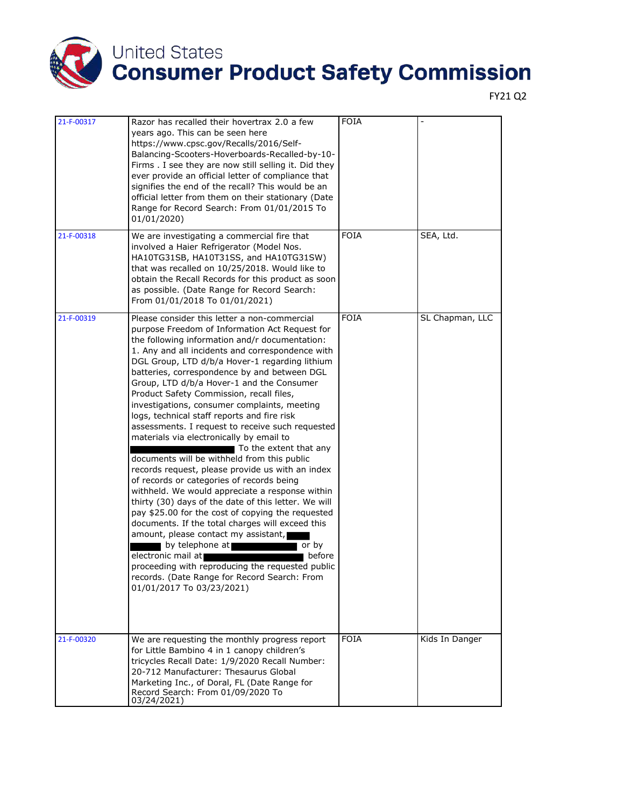

| 21-F-00317 | Razor has recalled their hovertrax 2.0 a few<br>years ago. This can be seen here<br>https://www.cpsc.gov/Recalls/2016/Self-<br>Balancing-Scooters-Hoverboards-Recalled-by-10-<br>Firms . I see they are now still selling it. Did they<br>ever provide an official letter of compliance that<br>signifies the end of the recall? This would be an<br>official letter from them on their stationary (Date<br>Range for Record Search: From 01/01/2015 To                                                                                                                                                                                                                                                                                                                                                                                                                                                                                                                                                                                                                                                                                                                                                                                                                                                                          | <b>FOIA</b> |                 |
|------------|----------------------------------------------------------------------------------------------------------------------------------------------------------------------------------------------------------------------------------------------------------------------------------------------------------------------------------------------------------------------------------------------------------------------------------------------------------------------------------------------------------------------------------------------------------------------------------------------------------------------------------------------------------------------------------------------------------------------------------------------------------------------------------------------------------------------------------------------------------------------------------------------------------------------------------------------------------------------------------------------------------------------------------------------------------------------------------------------------------------------------------------------------------------------------------------------------------------------------------------------------------------------------------------------------------------------------------|-------------|-----------------|
| 21-F-00318 | 01/01/2020)<br>We are investigating a commercial fire that<br>involved a Haier Refrigerator (Model Nos.<br>HA10TG31SB, HA10T31SS, and HA10TG31SW)<br>that was recalled on 10/25/2018. Would like to<br>obtain the Recall Records for this product as soon<br>as possible. (Date Range for Record Search:<br>From 01/01/2018 To 01/01/2021)                                                                                                                                                                                                                                                                                                                                                                                                                                                                                                                                                                                                                                                                                                                                                                                                                                                                                                                                                                                       | <b>FOIA</b> | SEA, Ltd.       |
| 21-F-00319 | Please consider this letter a non-commercial<br>purpose Freedom of Information Act Request for<br>the following information and/r documentation:<br>1. Any and all incidents and correspondence with<br>DGL Group, LTD d/b/a Hover-1 regarding lithium<br>batteries, correspondence by and between DGL<br>Group, LTD d/b/a Hover-1 and the Consumer<br>Product Safety Commission, recall files,<br>investigations, consumer complaints, meeting<br>logs, technical staff reports and fire risk<br>assessments. I request to receive such requested<br>materials via electronically by email to<br>To the extent that any<br>documents will be withheld from this public<br>records request, please provide us with an index<br>of records or categories of records being<br>withheld. We would appreciate a response within<br>thirty (30) days of the date of this letter. We will<br>pay \$25.00 for the cost of copying the requested<br>documents. If the total charges will exceed this<br>amount, please contact my assistant,<br>by telephone at the state of the state of the state of the state of the state of the state of the state of the<br>or by<br>electronic mail at<br>before<br>proceeding with reproducing the requested public<br>records. (Date Range for Record Search: From<br>01/01/2017 To 03/23/2021) | <b>FOIA</b> | SL Chapman, LLC |
| 21-F-00320 | We are requesting the monthly progress report<br>for Little Bambino 4 in 1 canopy children's<br>tricycles Recall Date: 1/9/2020 Recall Number:<br>20-712 Manufacturer: Thesaurus Global<br>Marketing Inc., of Doral, FL (Date Range for<br>Record Search: From 01/09/2020 To<br>03/24/2021)                                                                                                                                                                                                                                                                                                                                                                                                                                                                                                                                                                                                                                                                                                                                                                                                                                                                                                                                                                                                                                      | <b>FOIA</b> | Kids In Danger  |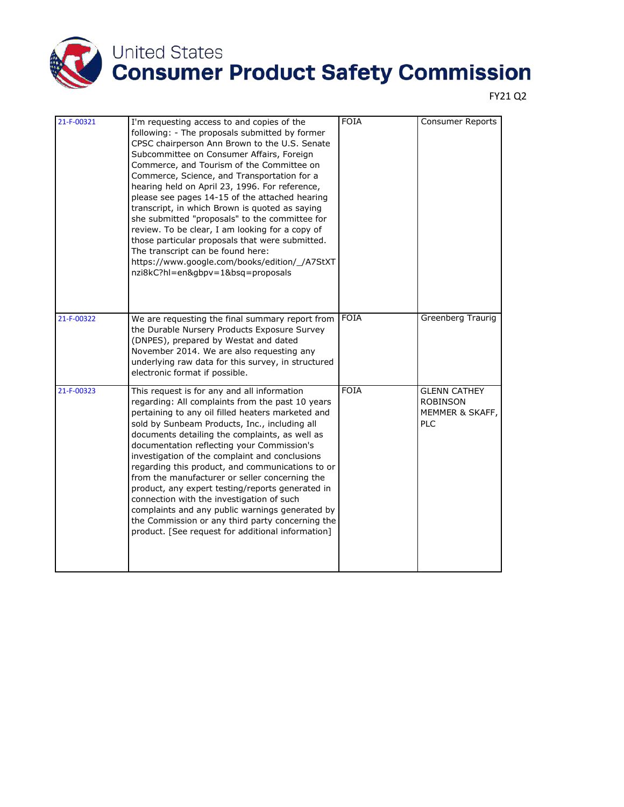

| 21-F-00321 | I'm requesting access to and copies of the<br>following: - The proposals submitted by former<br>CPSC chairperson Ann Brown to the U.S. Senate<br>Subcommittee on Consumer Affairs, Foreign<br>Commerce, and Tourism of the Committee on<br>Commerce, Science, and Transportation for a<br>hearing held on April 23, 1996. For reference,<br>please see pages 14-15 of the attached hearing<br>transcript, in which Brown is quoted as saying<br>she submitted "proposals" to the committee for<br>review. To be clear, I am looking for a copy of<br>those particular proposals that were submitted.<br>The transcript can be found here:<br>https://www.google.com/books/edition/_/A7StXT<br>nzi8kC?hl=en&gbpv=1&bsq=proposals | <b>FOIA</b> | Consumer Reports                                                        |
|------------|---------------------------------------------------------------------------------------------------------------------------------------------------------------------------------------------------------------------------------------------------------------------------------------------------------------------------------------------------------------------------------------------------------------------------------------------------------------------------------------------------------------------------------------------------------------------------------------------------------------------------------------------------------------------------------------------------------------------------------|-------------|-------------------------------------------------------------------------|
| 21-F-00322 | We are requesting the final summary report from<br>the Durable Nursery Products Exposure Survey<br>(DNPES), prepared by Westat and dated<br>November 2014. We are also requesting any<br>underlying raw data for this survey, in structured<br>electronic format if possible.                                                                                                                                                                                                                                                                                                                                                                                                                                                   | <b>FOIA</b> | Greenberg Traurig                                                       |
| 21-F-00323 | This request is for any and all information<br>regarding: All complaints from the past 10 years<br>pertaining to any oil filled heaters marketed and<br>sold by Sunbeam Products, Inc., including all<br>documents detailing the complaints, as well as<br>documentation reflecting your Commission's<br>investigation of the complaint and conclusions<br>regarding this product, and communications to or<br>from the manufacturer or seller concerning the<br>product, any expert testing/reports generated in<br>connection with the investigation of such<br>complaints and any public warnings generated by<br>the Commission or any third party concerning the<br>product. [See request for additional information]      | <b>FOIA</b> | <b>GLENN CATHEY</b><br><b>ROBINSON</b><br>MEMMER & SKAFF,<br><b>PLC</b> |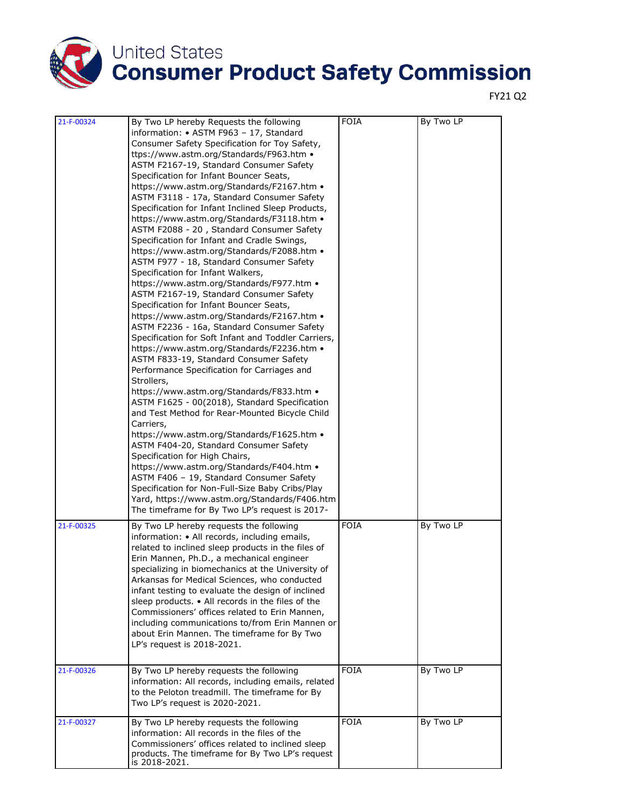

| 21-F-00324 | By Two LP hereby Requests the following<br>information: • ASTM F963 - 17, Standard<br>Consumer Safety Specification for Toy Safety,<br>ttps://www.astm.org/Standards/F963.htm •<br>ASTM F2167-19, Standard Consumer Safety<br>Specification for Infant Bouncer Seats,<br>https://www.astm.org/Standards/F2167.htm •<br>ASTM F3118 - 17a, Standard Consumer Safety<br>Specification for Infant Inclined Sleep Products,<br>https://www.astm.org/Standards/F3118.htm •<br>ASTM F2088 - 20, Standard Consumer Safety<br>Specification for Infant and Cradle Swings,<br>https://www.astm.org/Standards/F2088.htm •<br>ASTM F977 - 18, Standard Consumer Safety<br>Specification for Infant Walkers,<br>https://www.astm.org/Standards/F977.htm •<br>ASTM F2167-19, Standard Consumer Safety<br>Specification for Infant Bouncer Seats,<br>https://www.astm.org/Standards/F2167.htm • | <b>FOIA</b> | By Two LP |
|------------|----------------------------------------------------------------------------------------------------------------------------------------------------------------------------------------------------------------------------------------------------------------------------------------------------------------------------------------------------------------------------------------------------------------------------------------------------------------------------------------------------------------------------------------------------------------------------------------------------------------------------------------------------------------------------------------------------------------------------------------------------------------------------------------------------------------------------------------------------------------------------------|-------------|-----------|
|            | ASTM F2236 - 16a, Standard Consumer Safety<br>Specification for Soft Infant and Toddler Carriers,<br>https://www.astm.org/Standards/F2236.htm •<br>ASTM F833-19, Standard Consumer Safety<br>Performance Specification for Carriages and<br>Strollers,<br>https://www.astm.org/Standards/F833.htm •<br>ASTM F1625 - 00(2018), Standard Specification<br>and Test Method for Rear-Mounted Bicycle Child<br>Carriers,<br>https://www.astm.org/Standards/F1625.htm •<br>ASTM F404-20, Standard Consumer Safety<br>Specification for High Chairs,<br>https://www.astm.org/Standards/F404.htm •<br>ASTM F406 - 19, Standard Consumer Safety<br>Specification for Non-Full-Size Baby Cribs/Play<br>Yard, https://www.astm.org/Standards/F406.htm<br>The timeframe for By Two LP's request is 2017-                                                                                     |             |           |
| 21-F-00325 | By Two LP hereby requests the following<br>information: • All records, including emails,<br>related to inclined sleep products in the files of<br>Erin Mannen, Ph.D., a mechanical engineer<br>specializing in biomechanics at the University of<br>Arkansas for Medical Sciences, who conducted<br>infant testing to evaluate the design of inclined<br>sleep products. • All records in the files of the<br>Commissioners' offices related to Erin Mannen,<br>including communications to/from Erin Mannen or<br>about Erin Mannen. The timeframe for By Two<br>LP's request is 2018-2021.                                                                                                                                                                                                                                                                                     | <b>FOIA</b> | By Two LP |
| 21-F-00326 | By Two LP hereby requests the following<br>information: All records, including emails, related<br>to the Peloton treadmill. The timeframe for By<br>Two LP's request is 2020-2021.                                                                                                                                                                                                                                                                                                                                                                                                                                                                                                                                                                                                                                                                                               | <b>FOIA</b> | By Two LP |
| 21-F-00327 | By Two LP hereby requests the following<br>information: All records in the files of the<br>Commissioners' offices related to inclined sleep<br>products. The timeframe for By Two LP's request<br>is 2018-2021.                                                                                                                                                                                                                                                                                                                                                                                                                                                                                                                                                                                                                                                                  | <b>FOIA</b> | By Two LP |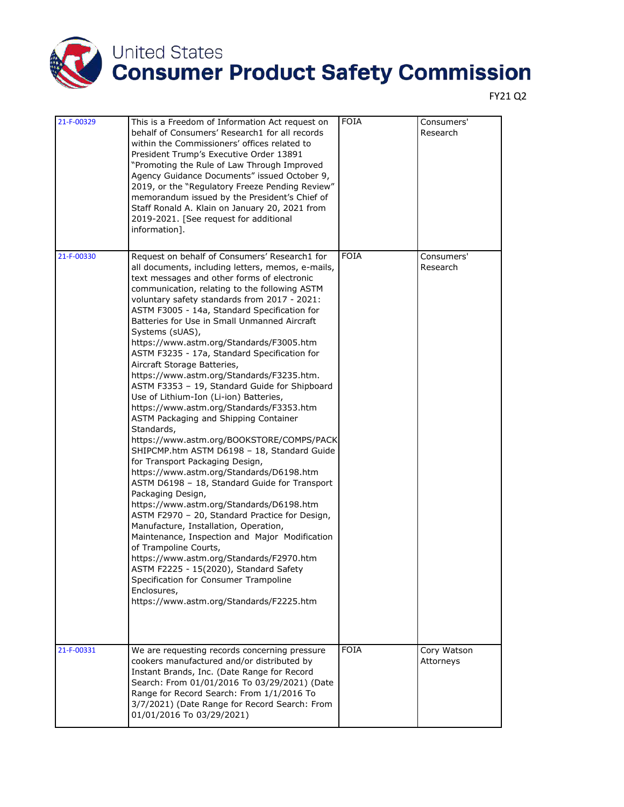

| 21-F-00329 | This is a Freedom of Information Act request on<br>behalf of Consumers' Research1 for all records<br>within the Commissioners' offices related to<br>President Trump's Executive Order 13891<br>"Promoting the Rule of Law Through Improved<br>Agency Guidance Documents" issued October 9,<br>2019, or the "Regulatory Freeze Pending Review"<br>memorandum issued by the President's Chief of<br>Staff Ronald A. Klain on January 20, 2021 from<br>2019-2021. [See request for additional<br>information].                                                                                                                                                                                                                                                                                                                                                                                                                                                                                                                                                                                                                                                                                                                                                                                                                                                                                             | <b>FOIA</b> | Consumers'<br>Research   |
|------------|----------------------------------------------------------------------------------------------------------------------------------------------------------------------------------------------------------------------------------------------------------------------------------------------------------------------------------------------------------------------------------------------------------------------------------------------------------------------------------------------------------------------------------------------------------------------------------------------------------------------------------------------------------------------------------------------------------------------------------------------------------------------------------------------------------------------------------------------------------------------------------------------------------------------------------------------------------------------------------------------------------------------------------------------------------------------------------------------------------------------------------------------------------------------------------------------------------------------------------------------------------------------------------------------------------------------------------------------------------------------------------------------------------|-------------|--------------------------|
| 21-F-00330 | Request on behalf of Consumers' Research1 for<br>all documents, including letters, memos, e-mails,<br>text messages and other forms of electronic<br>communication, relating to the following ASTM<br>voluntary safety standards from 2017 - 2021:<br>ASTM F3005 - 14a, Standard Specification for<br>Batteries for Use in Small Unmanned Aircraft<br>Systems (sUAS),<br>https://www.astm.org/Standards/F3005.htm<br>ASTM F3235 - 17a, Standard Specification for<br>Aircraft Storage Batteries,<br>https://www.astm.org/Standards/F3235.htm.<br>ASTM F3353 - 19, Standard Guide for Shipboard<br>Use of Lithium-Ion (Li-ion) Batteries,<br>https://www.astm.org/Standards/F3353.htm<br>ASTM Packaging and Shipping Container<br>Standards,<br>https://www.astm.org/BOOKSTORE/COMPS/PACK<br>SHIPCMP.htm ASTM D6198 - 18, Standard Guide<br>for Transport Packaging Design,<br>https://www.astm.org/Standards/D6198.htm<br>ASTM D6198 - 18, Standard Guide for Transport<br>Packaging Design,<br>https://www.astm.org/Standards/D6198.htm<br>ASTM F2970 - 20, Standard Practice for Design,<br>Manufacture, Installation, Operation,<br>Maintenance, Inspection and Major Modification<br>of Trampoline Courts,<br>https://www.astm.org/Standards/F2970.htm<br>ASTM F2225 - 15(2020), Standard Safety<br>Specification for Consumer Trampoline<br>Enclosures,<br>https://www.astm.org/Standards/F2225.htm | <b>FOIA</b> | Consumers'<br>Research   |
| 21-F-00331 | We are requesting records concerning pressure<br>cookers manufactured and/or distributed by<br>Instant Brands, Inc. (Date Range for Record<br>Search: From 01/01/2016 To 03/29/2021) (Date<br>Range for Record Search: From 1/1/2016 To<br>3/7/2021) (Date Range for Record Search: From<br>01/01/2016 To 03/29/2021)                                                                                                                                                                                                                                                                                                                                                                                                                                                                                                                                                                                                                                                                                                                                                                                                                                                                                                                                                                                                                                                                                    | <b>FOIA</b> | Cory Watson<br>Attorneys |